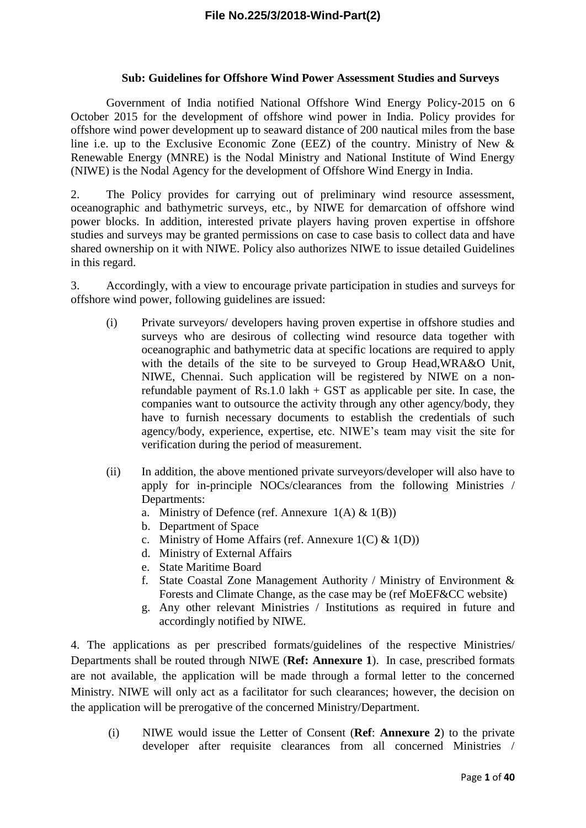#### **Sub: Guidelines for Offshore Wind Power Assessment Studies and Surveys**

Government of India notified National Offshore Wind Energy Policy-2015 on 6 October 2015 for the development of offshore wind power in India. Policy provides for offshore wind power development up to seaward distance of 200 nautical miles from the base line i.e. up to the Exclusive Economic Zone (EEZ) of the country. Ministry of New & Renewable Energy (MNRE) is the Nodal Ministry and National Institute of Wind Energy (NIWE) is the Nodal Agency for the development of Offshore Wind Energy in India.

2. The Policy provides for carrying out of preliminary wind resource assessment, oceanographic and bathymetric surveys, etc., by NIWE for demarcation of offshore wind power blocks. In addition, interested private players having proven expertise in offshore studies and surveys may be granted permissions on case to case basis to collect data and have shared ownership on it with NIWE. Policy also authorizes NIWE to issue detailed Guidelines in this regard.

3. Accordingly, with a view to encourage private participation in studies and surveys for offshore wind power, following guidelines are issued:

- (i) Private surveyors/ developers having proven expertise in offshore studies and surveys who are desirous of collecting wind resource data together with oceanographic and bathymetric data at specific locations are required to apply with the details of the site to be surveyed to Group Head,WRA&O Unit, NIWE, Chennai. Such application will be registered by NIWE on a nonrefundable payment of Rs.1.0 lakh + GST as applicable per site. In case, the companies want to outsource the activity through any other agency/body, they have to furnish necessary documents to establish the credentials of such agency/body, experience, expertise, etc. NIWE's team may visit the site for verification during the period of measurement.
- (ii) In addition, the above mentioned private surveyors/developer will also have to apply for in-principle NOCs/clearances from the following Ministries / Departments:
	- a. Ministry of Defence (ref. Annexure  $1(A) \& 1(B)$ )
	- b. Department of Space
	- c. Ministry of Home Affairs (ref. Annexure  $1(C) \& 1(D)$ )
	- d. Ministry of External Affairs
	- e. State Maritime Board
	- f. State Coastal Zone Management Authority / Ministry of Environment & Forests and Climate Change, as the case may be (ref MoEF&CC website)
	- g. Any other relevant Ministries / Institutions as required in future and accordingly notified by NIWE.

4. The applications as per prescribed formats/guidelines of the respective Ministries/ Departments shall be routed through NIWE (**Ref: Annexure 1**). In case, prescribed formats are not available, the application will be made through a formal letter to the concerned Ministry. NIWE will only act as a facilitator for such clearances; however, the decision on the application will be prerogative of the concerned Ministry/Department.

(i) NIWE would issue the Letter of Consent (**Ref**: **Annexure 2**) to the private developer after requisite clearances from all concerned Ministries /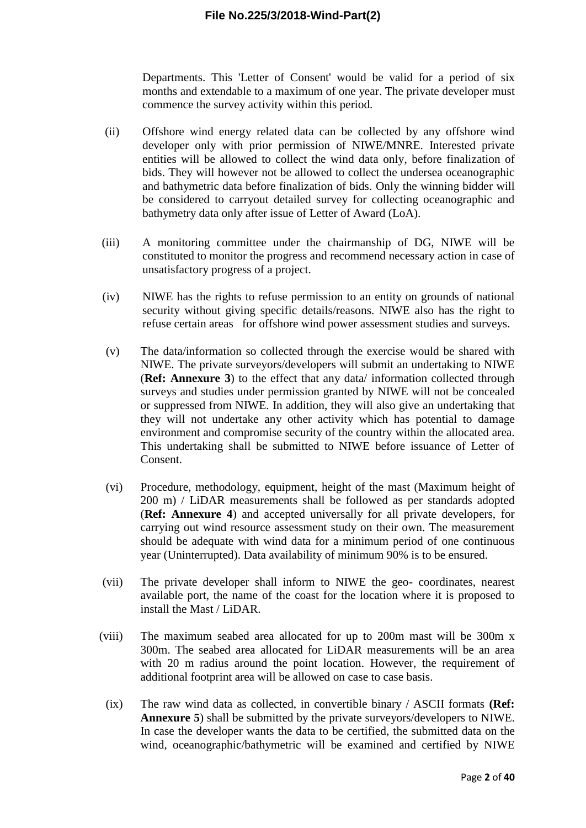Departments. This 'Letter of Consent' would be valid for a period of six months and extendable to a maximum of one year. The private developer must commence the survey activity within this period.

- (ii) Offshore wind energy related data can be collected by any offshore wind developer only with prior permission of NIWE/MNRE. Interested private entities will be allowed to collect the wind data only, before finalization of bids. They will however not be allowed to collect the undersea oceanographic and bathymetric data before finalization of bids. Only the winning bidder will be considered to carryout detailed survey for collecting oceanographic and bathymetry data only after issue of Letter of Award (LoA).
- (iii) A monitoring committee under the chairmanship of DG, NIWE will be constituted to monitor the progress and recommend necessary action in case of unsatisfactory progress of a project.
- (iv) NIWE has the rights to refuse permission to an entity on grounds of national security without giving specific details/reasons. NIWE also has the right to refuse certain areas for offshore wind power assessment studies and surveys.
- (v) The data/information so collected through the exercise would be shared with NIWE. The private surveyors/developers will submit an undertaking to NIWE (**Ref: Annexure 3**) to the effect that any data/ information collected through surveys and studies under permission granted by NIWE will not be concealed or suppressed from NIWE. In addition, they will also give an undertaking that they will not undertake any other activity which has potential to damage environment and compromise security of the country within the allocated area. This undertaking shall be submitted to NIWE before issuance of Letter of Consent.
- (vi) Procedure, methodology, equipment, height of the mast (Maximum height of 200 m) / LiDAR measurements shall be followed as per standards adopted (**Ref: Annexure 4**) and accepted universally for all private developers, for carrying out wind resource assessment study on their own. The measurement should be adequate with wind data for a minimum period of one continuous year (Uninterrupted). Data availability of minimum 90% is to be ensured.
- (vii) The private developer shall inform to NIWE the geo- coordinates, nearest available port, the name of the coast for the location where it is proposed to install the Mast / LiDAR.
- (viii) The maximum seabed area allocated for up to 200m mast will be 300m x 300m. The seabed area allocated for LiDAR measurements will be an area with 20 m radius around the point location. However, the requirement of additional footprint area will be allowed on case to case basis.
	- (ix) The raw wind data as collected, in convertible binary / ASCII formats **(Ref: Annexure 5**) shall be submitted by the private surveyors/developers to NIWE. In case the developer wants the data to be certified, the submitted data on the wind, oceanographic/bathymetric will be examined and certified by NIWE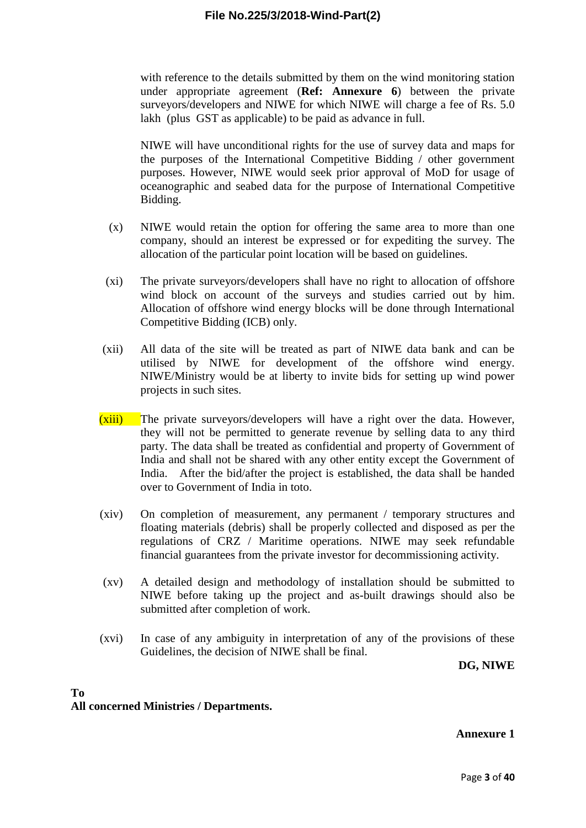with reference to the details submitted by them on the wind monitoring station under appropriate agreement (**Ref: Annexure 6**) between the private surveyors/developers and NIWE for which NIWE will charge a fee of Rs. 5.0 lakh (plus GST as applicable) to be paid as advance in full.

NIWE will have unconditional rights for the use of survey data and maps for the purposes of the International Competitive Bidding / other government purposes. However, NIWE would seek prior approval of MoD for usage of oceanographic and seabed data for the purpose of International Competitive Bidding.

- (x) NIWE would retain the option for offering the same area to more than one company, should an interest be expressed or for expediting the survey. The allocation of the particular point location will be based on guidelines.
- (xi) The private surveyors/developers shall have no right to allocation of offshore wind block on account of the surveys and studies carried out by him. Allocation of offshore wind energy blocks will be done through International Competitive Bidding (ICB) only.
- (xii) All data of the site will be treated as part of NIWE data bank and can be utilised by NIWE for development of the offshore wind energy. NIWE/Ministry would be at liberty to invite bids for setting up wind power projects in such sites.
- (xiii) The private surveyors/developers will have a right over the data. However, they will not be permitted to generate revenue by selling data to any third party. The data shall be treated as confidential and property of Government of India and shall not be shared with any other entity except the Government of India. After the bid/after the project is established, the data shall be handed over to Government of India in toto.
- (xiv) On completion of measurement, any permanent / temporary structures and floating materials (debris) shall be properly collected and disposed as per the regulations of CRZ / Maritime operations. NIWE may seek refundable financial guarantees from the private investor for decommissioning activity.
- (xv) A detailed design and methodology of installation should be submitted to NIWE before taking up the project and as-built drawings should also be submitted after completion of work.
- (xvi) In case of any ambiguity in interpretation of any of the provisions of these Guidelines, the decision of NIWE shall be final.

**DG, NIWE**

#### **To All concerned Ministries / Departments.**

**Annexure 1**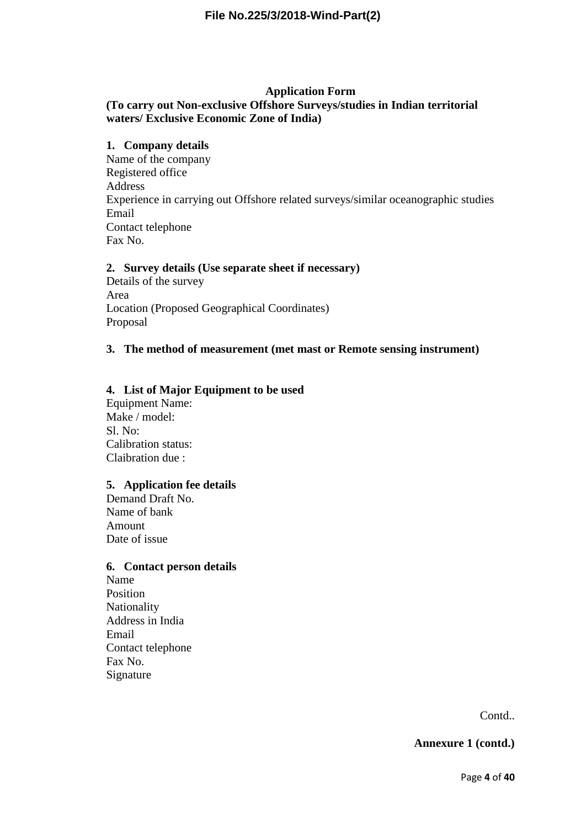#### **Application Form**

## **(To carry out Non-exclusive Offshore Surveys/studies in Indian territorial waters/ Exclusive Economic Zone of India)**

#### **1. Company details**

Name of the company Registered office Address Experience in carrying out Offshore related surveys/similar oceanographic studies Email Contact telephone Fax No.

#### **2. Survey details (Use separate sheet if necessary)**

Details of the survey Area Location (Proposed Geographical Coordinates) Proposal

#### **3. The method of measurement (met mast or Remote sensing instrument)**

#### **4. List of Major Equipment to be used**

Equipment Name: Make / model: Sl. No: Calibration status: Claibration due :

#### **5. Application fee details**

Demand Draft No. Name of bank Amount Date of issue

#### **6. Contact person details**

Name Position Nationality Address in India Email Contact telephone Fax No. Signature

Contd..

**Annexure 1 (contd.)**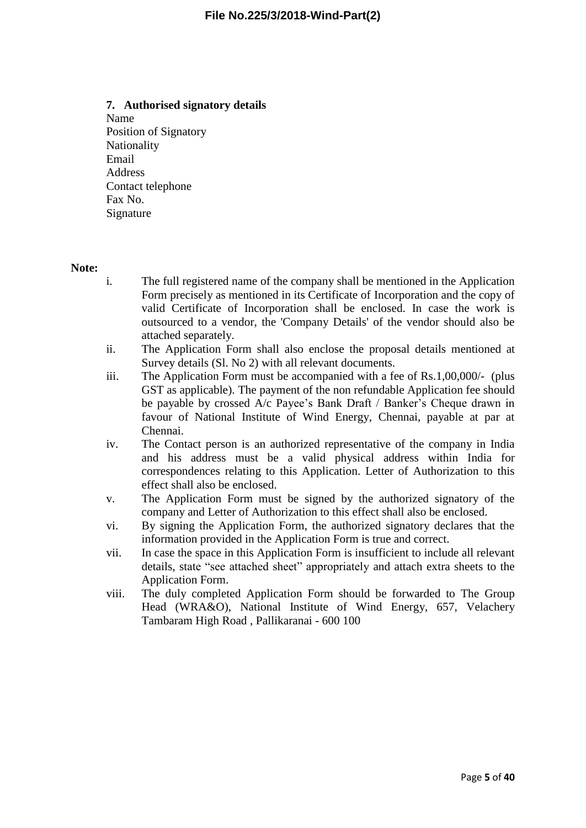#### **7. Authorised signatory details**

Name Position of Signatory Nationality Email Address Contact telephone Fax No. Signature

#### **Note:**

- i. The full registered name of the company shall be mentioned in the Application Form precisely as mentioned in its Certificate of Incorporation and the copy of valid Certificate of Incorporation shall be enclosed. In case the work is outsourced to a vendor, the 'Company Details' of the vendor should also be attached separately.
- ii. The Application Form shall also enclose the proposal details mentioned at Survey details (Sl. No 2) with all relevant documents.
- iii. The Application Form must be accompanied with a fee of Rs.1,00,000/- (plus GST as applicable). The payment of the non refundable Application fee should be payable by crossed A/c Payee's Bank Draft / Banker's Cheque drawn in favour of National Institute of Wind Energy, Chennai, payable at par at Chennai.
- iv. The Contact person is an authorized representative of the company in India and his address must be a valid physical address within India for correspondences relating to this Application. Letter of Authorization to this effect shall also be enclosed.
- v. The Application Form must be signed by the authorized signatory of the company and Letter of Authorization to this effect shall also be enclosed.
- vi. By signing the Application Form, the authorized signatory declares that the information provided in the Application Form is true and correct.
- vii. In case the space in this Application Form is insufficient to include all relevant details, state "see attached sheet" appropriately and attach extra sheets to the Application Form.
- viii. The duly completed Application Form should be forwarded to The Group Head (WRA&O), National Institute of Wind Energy, 657, Velachery Tambaram High Road , Pallikaranai - 600 100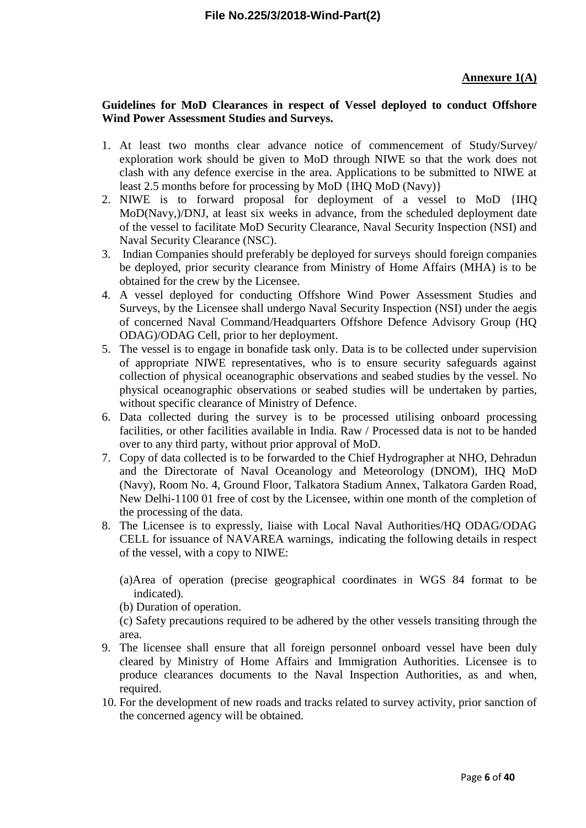## **Annexure 1(A)**

#### **Guidelines for MoD Clearances in respect of Vessel deployed to conduct Offshore Wind Power Assessment Studies and Surveys.**

- 1. At least two months clear advance notice of commencement of Study/Survey/ exploration work should be given to MoD through NIWE so that the work does not clash with any defence exercise in the area. Applications to be submitted to NIWE at least 2.5 months before for processing by MoD {IHQ MoD (Navy)}
- 2. NIWE is to forward proposal for deployment of a vessel to MoD {IHQ MoD(Navy,)/DNJ, at least six weeks in advance, from the scheduled deployment date of the vessel to facilitate MoD Security Clearance, Naval Security Inspection (NSI) and Naval Security Clearance (NSC).
- 3. Indian Companies should preferably be deployed for surveys should foreign companies be deployed, prior security clearance from Ministry of Home Affairs (MHA) is to be obtained for the crew by the Licensee.
- 4. A vessel deployed for conducting Offshore Wind Power Assessment Studies and Surveys, by the Licensee shall undergo Naval Security Inspection (NSI) under the aegis of concerned Naval Command/Headquarters Offshore Defence Advisory Group (HQ ODAG)/ODAG Cell, prior to her deployment.
- 5. The vessel is to engage in bonafide task only. Data is to be collected under supervision of appropriate NIWE representatives, who is to ensure security safeguards against collection of physical oceanographic observations and seabed studies by the vessel. No physical oceanographic observations or seabed studies will be undertaken by parties, without specific clearance of Ministry of Defence.
- 6. Data collected during the survey is to be processed utilising onboard processing facilities, or other facilities available in India. Raw / Processed data is not to be handed over to any third party, without prior approval of MoD.
- 7. Copy of data collected is to be forwarded to the Chief Hydrographer at NHO, Dehradun and the Directorate of Naval Oceanology and Meteorology (DNOM), IHQ MoD (Navy), Room No. 4, Ground Floor, Talkatora Stadium Annex, Talkatora Garden Road, New Delhi-1100 01 free of cost by the Licensee, within one month of the completion of the processing of the data.
- 8. The Licensee is to expressly, liaise with Local Naval Authorities/HQ ODAG/ODAG CELL for issuance of NAVAREA warnings, indicating the following details in respect of the vessel, with a copy to NIWE:

(a)Area of operation (precise geographical coordinates in WGS 84 format to be indicated).

(b) Duration of operation.

(c) Safety precautions required to be adhered by the other vessels transiting through the area.

- 9. The licensee shall ensure that all foreign personnel onboard vessel have been duly cleared by Ministry of Home Affairs and Immigration Authorities. Licensee is to produce clearances documents to the Naval Inspection Authorities, as and when, required.
- 10. For the development of new roads and tracks related to survey activity, prior sanction of the concerned agency will be obtained.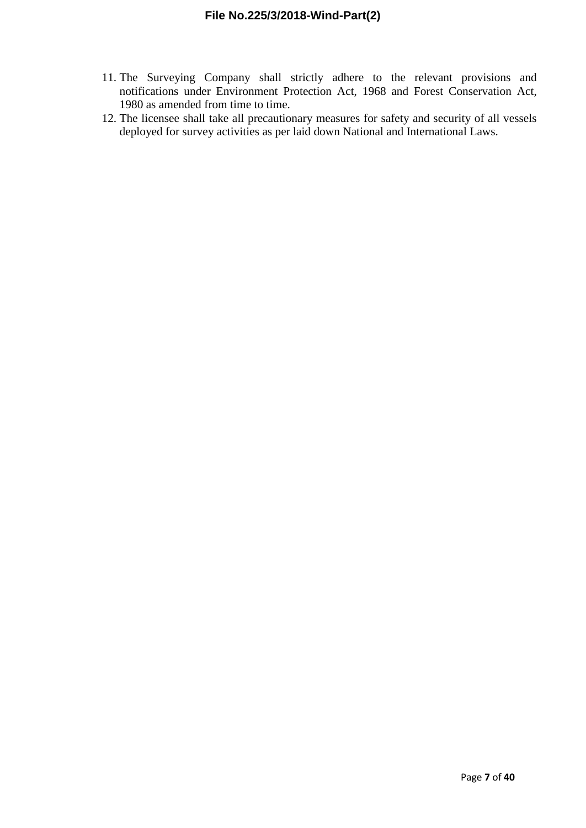- 11. The Surveying Company shall strictly adhere to the relevant provisions and notifications under Environment Protection Act, 1968 and Forest Conservation Act, 1980 as amended from time to time.
- 12. The licensee shall take all precautionary measures for safety and security of all vessels deployed for survey activities as per laid down National and International Laws.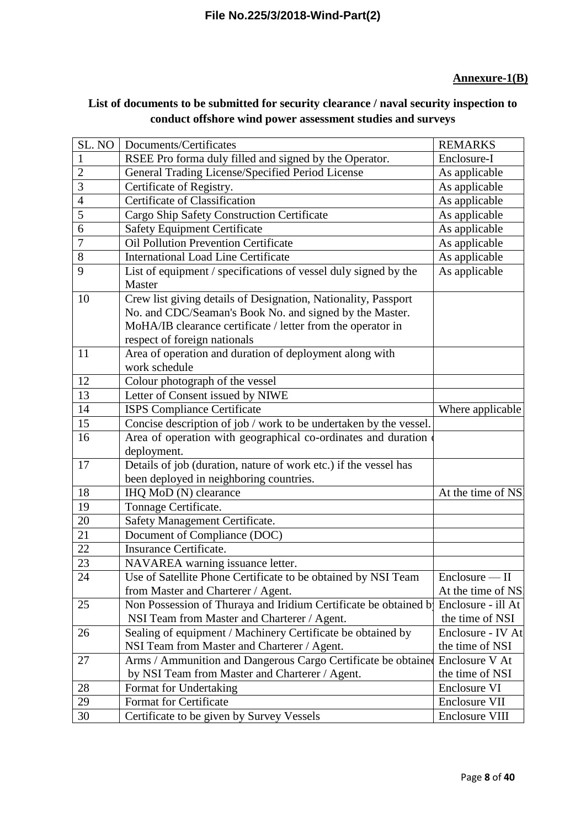# **Annexure-1(B)**

# **List of documents to be submitted for security clearance / naval security inspection to conduct offshore wind power assessment studies and surveys**

| SL. NO         | Documents/Certificates                                            | <b>REMARKS</b>       |
|----------------|-------------------------------------------------------------------|----------------------|
| $\mathbf{1}$   | RSEE Pro forma duly filled and signed by the Operator.            | Enclosure-I          |
| $\overline{2}$ | General Trading License/Specified Period License                  | As applicable        |
| 3              | Certificate of Registry.                                          | As applicable        |
| 4              | <b>Certificate of Classification</b>                              | As applicable        |
| 5              | Cargo Ship Safety Construction Certificate                        | As applicable        |
| 6              | <b>Safety Equipment Certificate</b>                               | As applicable        |
| 7              | <b>Oil Pollution Prevention Certificate</b>                       | As applicable        |
| 8              | <b>International Load Line Certificate</b>                        | As applicable        |
| 9              | List of equipment / specifications of vessel duly signed by the   | As applicable        |
|                | Master                                                            |                      |
| 10             | Crew list giving details of Designation, Nationality, Passport    |                      |
|                | No. and CDC/Seaman's Book No. and signed by the Master.           |                      |
|                | MoHA/IB clearance certificate / letter from the operator in       |                      |
|                | respect of foreign nationals                                      |                      |
| 11             | Area of operation and duration of deployment along with           |                      |
|                | work schedule                                                     |                      |
| 12             | Colour photograph of the vessel                                   |                      |
| 13             | Letter of Consent issued by NIWE                                  |                      |
| 14             | <b>ISPS Compliance Certificate</b>                                | Where applicable     |
| 15             | Concise description of job / work to be undertaken by the vessel. |                      |
| 16             | Area of operation with geographical co-ordinates and duration     |                      |
|                | deployment.                                                       |                      |
| 17             | Details of job (duration, nature of work etc.) if the vessel has  |                      |
|                | been deployed in neighboring countries.                           |                      |
| 18             | IHQ MoD (N) clearance                                             | At the time of NS.   |
| 19             | Tonnage Certificate.                                              |                      |
| 20             | Safety Management Certificate.                                    |                      |
| 21             | Document of Compliance (DOC)                                      |                      |
| 22             | Insurance Certificate.                                            |                      |
| 23             | NAVAREA warning issuance letter.                                  |                      |
| 24             | Use of Satellite Phone Certificate to be obtained by NSI Team     | Enclosure — II       |
|                | from Master and Charterer / Agent.                                | At the time of NS!   |
| 25             | Non Possession of Thuraya and Iridium Certificate be obtained by  | Enclosure - ill At   |
|                | NSI Team from Master and Charterer / Agent.                       | the time of NSI      |
| 26             | Sealing of equipment / Machinery Certificate be obtained by       | Enclosure - IV At    |
|                | NSI Team from Master and Charterer / Agent.                       | the time of NSI      |
| 27             | Arms / Ammunition and Dangerous Cargo Certificate be obtained     | Enclosure V At       |
|                | by NSI Team from Master and Charterer / Agent.                    | the time of NSI      |
| $28\,$         | Format for Undertaking                                            | Enclosure VI         |
| 29             | Format for Certificate                                            | <b>Enclosure VII</b> |
| 30             | Certificate to be given by Survey Vessels                         | Enclosure VIII       |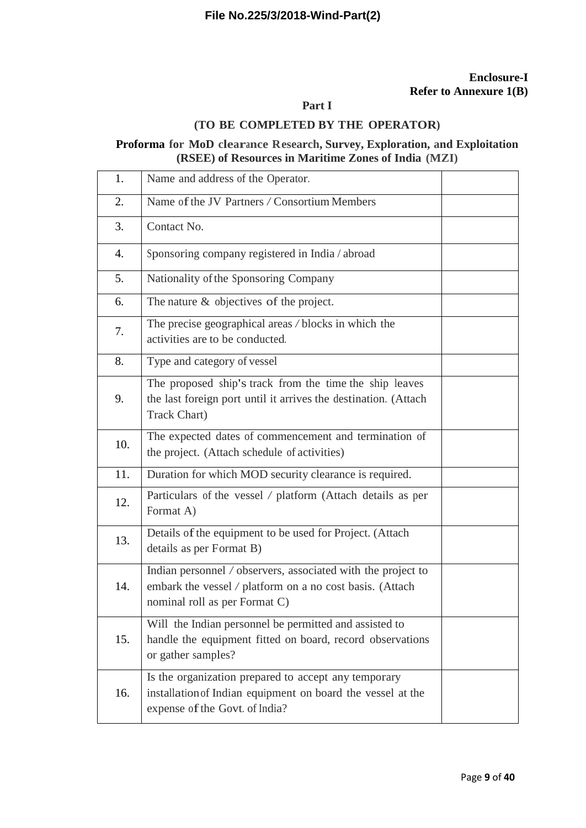#### **Enclosure-I Refer to Annexure 1(B)**

# **Part I**

## **(TO BE COMPLETED BY THE OPERATOR)**

# **Proforma for MoD clearance Research, Survey, Exploration, and Exploitation (RSEE) of Resources in Maritime Zones of India (MZI)**

| 1.  | Name and address of the Operator.                                                                                                                         |  |
|-----|-----------------------------------------------------------------------------------------------------------------------------------------------------------|--|
| 2.  | Name of the JV Partners / Consortium Members                                                                                                              |  |
| 3.  | Contact No.                                                                                                                                               |  |
| 4.  | Sponsoring company registered in India / abroad                                                                                                           |  |
| 5.  | Nationality of the Sponsoring Company                                                                                                                     |  |
| 6.  | The nature & objectives of the project.                                                                                                                   |  |
| 7.  | The precise geographical areas / blocks in which the<br>activities are to be conducted.                                                                   |  |
| 8.  | Type and category of vessel                                                                                                                               |  |
| 9.  | The proposed ship's track from the time the ship leaves<br>the last foreign port until it arrives the destination. (Attach<br><b>Track Chart</b> )        |  |
| 10. | The expected dates of commencement and termination of<br>the project. (Attach schedule of activities)                                                     |  |
| 11. | Duration for which MOD security clearance is required.                                                                                                    |  |
| 12. | Particulars of the vessel / platform (Attach details as per<br>Format A)                                                                                  |  |
| 13. | Details of the equipment to be used for Project. (Attach<br>details as per Format B)                                                                      |  |
| 14. | Indian personnel / observers, associated with the project to<br>embark the vessel / platform on a no cost basis. (Attach<br>nominal roll as per Format C) |  |
| 15. | Will the Indian personnel be permitted and assisted to<br>handle the equipment fitted on board, record observations<br>or gather samples?                 |  |
| 16. | Is the organization prepared to accept any temporary<br>installation of Indian equipment on board the vessel at the<br>expense of the Govt. of India?     |  |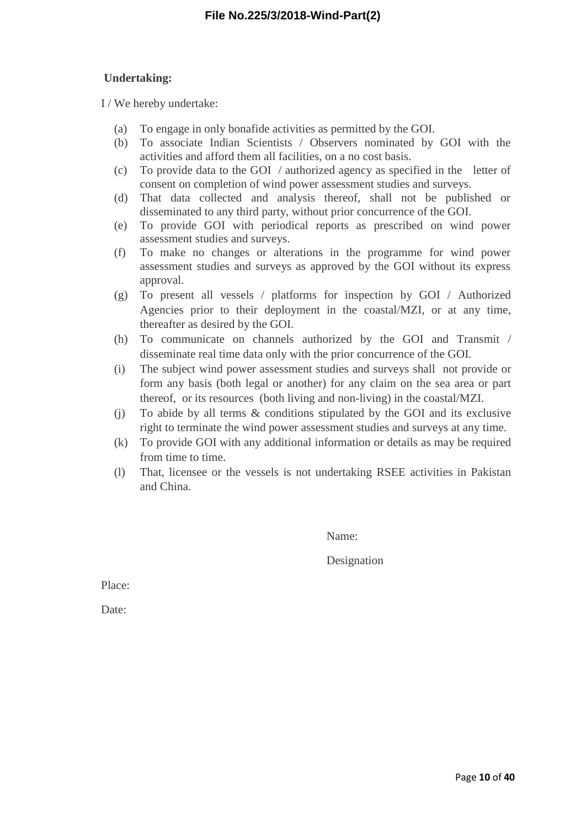## **Undertaking:**

I / We hereby undertake:

- (a) To engage in only bonafide activities as permitted by the GOI.
- (b) To associate Indian Scientists / Observers nominated by GOI with the activities and afford them all facilities, on a no cost basis.
- (c) To provide data to the GOI / authorized agency as specified in the letter of consent on completion of wind power assessment studies and surveys.
- (d) That data collected and analysis thereof, shall not be published or disseminated to any third party, without prior concurrence of the GOI.
- (e) To provide GOI with periodical reports as prescribed on wind power assessment studies and surveys.
- (f) To make no changes or alterations in the programme for wind power assessment studies and surveys as approved by the GOI without its express approval.
- (g) To present all vessels / platforms for inspection by GOI / Authorized Agencies prior to their deployment in the coastal/MZI, or at any time, thereafter as desired by the GOI.
- (h) To communicate on channels authorized by the GOI and Transmit / disseminate real time data only with the prior concurrence of the GOI.
- (i) The subject wind power assessment studies and surveys shall not provide or form any basis (both legal or another) for any claim on the sea area or part thereof, or its resources (both living and non-living) in the coastal/MZI.
- (j) To abide by all terms & conditions stipulated by the GOI and its exclusive right to terminate the wind power assessment studies and surveys at any time.
- (k) To provide GOI with any additional information or details as may be required from time to time.
- (l) That, licensee or the vessels is not undertaking RSEE activities in Pakistan and China.

Name:

Designation

Place:

Date: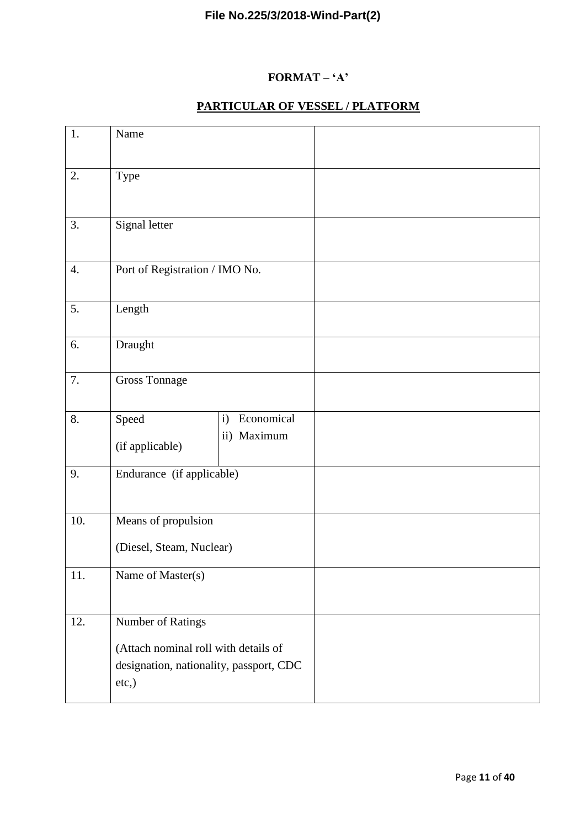# **FORMAT – 'A'**

# **PARTICULAR OF VESSEL / PLATFORM**

| 1.  | Name                                                                                                          |                                           |  |
|-----|---------------------------------------------------------------------------------------------------------------|-------------------------------------------|--|
| 2.  | Type                                                                                                          |                                           |  |
| 3.  | Signal letter                                                                                                 |                                           |  |
| 4.  | Port of Registration / IMO No.                                                                                |                                           |  |
| 5.  | Length                                                                                                        |                                           |  |
| 6.  | Draught                                                                                                       |                                           |  |
| 7.  | <b>Gross Tonnage</b>                                                                                          |                                           |  |
| 8.  | Speed<br>(if applicable)                                                                                      | Economical<br>$\mathbf{i}$<br>ii) Maximum |  |
| 9.  | Endurance (if applicable)                                                                                     |                                           |  |
| 10. | Means of propulsion<br>(Diesel, Steam, Nuclear)                                                               |                                           |  |
| 11. | Name of Master(s)                                                                                             |                                           |  |
| 12. | Number of Ratings<br>(Attach nominal roll with details of<br>designation, nationality, passport, CDC<br>etc.) |                                           |  |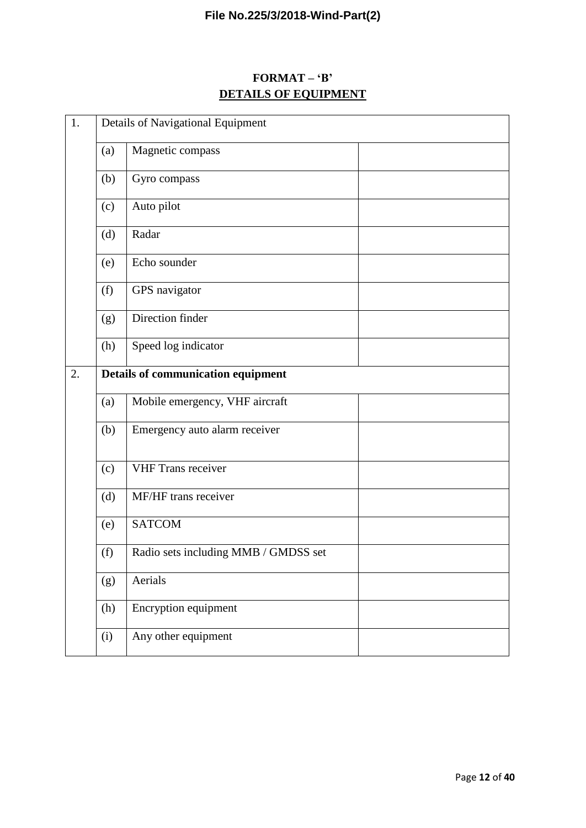# **FORMAT – 'B' DETAILS OF EQUIPMENT**

| 1. | Details of Navigational Equipment         |                                      |  |  |  |  |  |  |  |  |  |  |
|----|-------------------------------------------|--------------------------------------|--|--|--|--|--|--|--|--|--|--|
|    | (a)                                       | Magnetic compass                     |  |  |  |  |  |  |  |  |  |  |
|    | (b)                                       | Gyro compass                         |  |  |  |  |  |  |  |  |  |  |
|    | (c)                                       | Auto pilot                           |  |  |  |  |  |  |  |  |  |  |
|    | (d)                                       | Radar                                |  |  |  |  |  |  |  |  |  |  |
|    | (e)                                       | Echo sounder                         |  |  |  |  |  |  |  |  |  |  |
|    | (f)                                       | GPS navigator                        |  |  |  |  |  |  |  |  |  |  |
|    | (g)                                       | Direction finder                     |  |  |  |  |  |  |  |  |  |  |
|    | (h)                                       | Speed log indicator                  |  |  |  |  |  |  |  |  |  |  |
| 2. | <b>Details of communication equipment</b> |                                      |  |  |  |  |  |  |  |  |  |  |
|    | (a)                                       | Mobile emergency, VHF aircraft       |  |  |  |  |  |  |  |  |  |  |
|    | (b)                                       | Emergency auto alarm receiver        |  |  |  |  |  |  |  |  |  |  |
|    | (c)                                       | <b>VHF Trans receiver</b>            |  |  |  |  |  |  |  |  |  |  |
|    | (d)                                       | MF/HF trans receiver                 |  |  |  |  |  |  |  |  |  |  |
|    | (e)                                       | <b>SATCOM</b>                        |  |  |  |  |  |  |  |  |  |  |
|    | (f)                                       | Radio sets including MMB / GMDSS set |  |  |  |  |  |  |  |  |  |  |
|    | (g)                                       | Aerials                              |  |  |  |  |  |  |  |  |  |  |
|    | (h)                                       | Encryption equipment                 |  |  |  |  |  |  |  |  |  |  |
|    | (i)                                       | Any other equipment                  |  |  |  |  |  |  |  |  |  |  |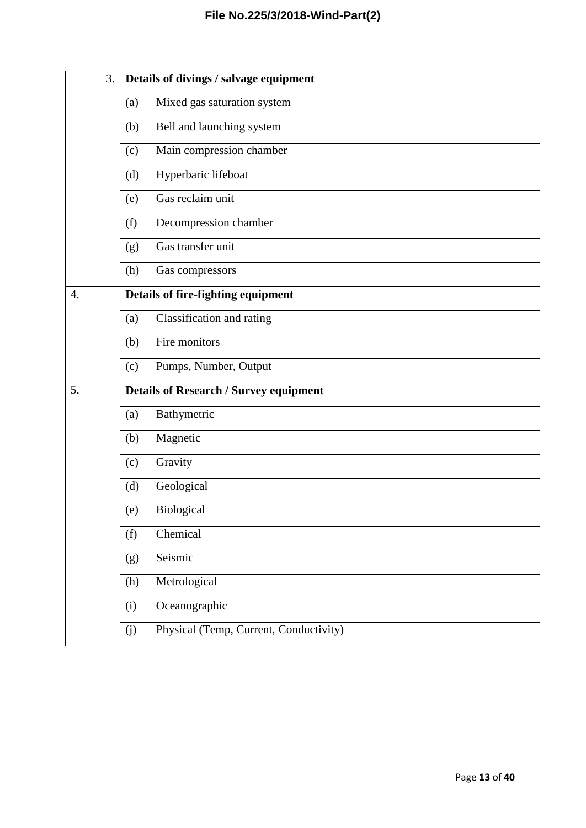| 3. |     | Details of divings / salvage equipment        |
|----|-----|-----------------------------------------------|
|    | (a) | Mixed gas saturation system                   |
|    | (b) | Bell and launching system                     |
|    | (c) | Main compression chamber                      |
|    | (d) | Hyperbaric lifeboat                           |
|    | (e) | Gas reclaim unit                              |
|    | (f) | Decompression chamber                         |
|    | (g) | Gas transfer unit                             |
|    | (h) | Gas compressors                               |
| 4. |     | Details of fire-fighting equipment            |
|    | (a) | Classification and rating                     |
|    | (b) | Fire monitors                                 |
|    | (c) | Pumps, Number, Output                         |
| 5. |     | <b>Details of Research / Survey equipment</b> |
|    | (a) | Bathymetric                                   |
|    | (b) | Magnetic                                      |
|    | (c) | Gravity                                       |
|    | (d) | Geological                                    |
|    | (e) | Biological                                    |
|    | (f) | Chemical                                      |
|    | (g) | Seismic                                       |
|    | (h) | Metrological                                  |
|    | (i) | Oceanographic                                 |
|    | (j) | Physical (Temp, Current, Conductivity)        |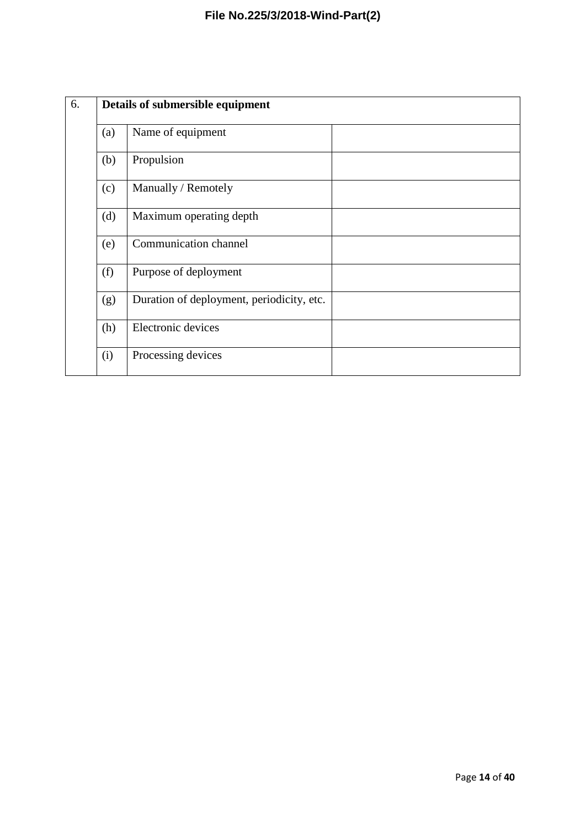| 6. | Details of submersible equipment |                                           |  |  |  |  |  |  |  |  |  |  |  |  |  |
|----|----------------------------------|-------------------------------------------|--|--|--|--|--|--|--|--|--|--|--|--|--|
|    | (a)                              | Name of equipment                         |  |  |  |  |  |  |  |  |  |  |  |  |  |
|    | (b)                              | Propulsion                                |  |  |  |  |  |  |  |  |  |  |  |  |  |
|    | (c)                              | Manually / Remotely                       |  |  |  |  |  |  |  |  |  |  |  |  |  |
|    | (d)                              | Maximum operating depth                   |  |  |  |  |  |  |  |  |  |  |  |  |  |
|    | (e)                              | Communication channel                     |  |  |  |  |  |  |  |  |  |  |  |  |  |
|    | (f)                              | Purpose of deployment                     |  |  |  |  |  |  |  |  |  |  |  |  |  |
|    | (g)                              | Duration of deployment, periodicity, etc. |  |  |  |  |  |  |  |  |  |  |  |  |  |
|    | (h)                              | Electronic devices                        |  |  |  |  |  |  |  |  |  |  |  |  |  |
|    | (i)                              | Processing devices                        |  |  |  |  |  |  |  |  |  |  |  |  |  |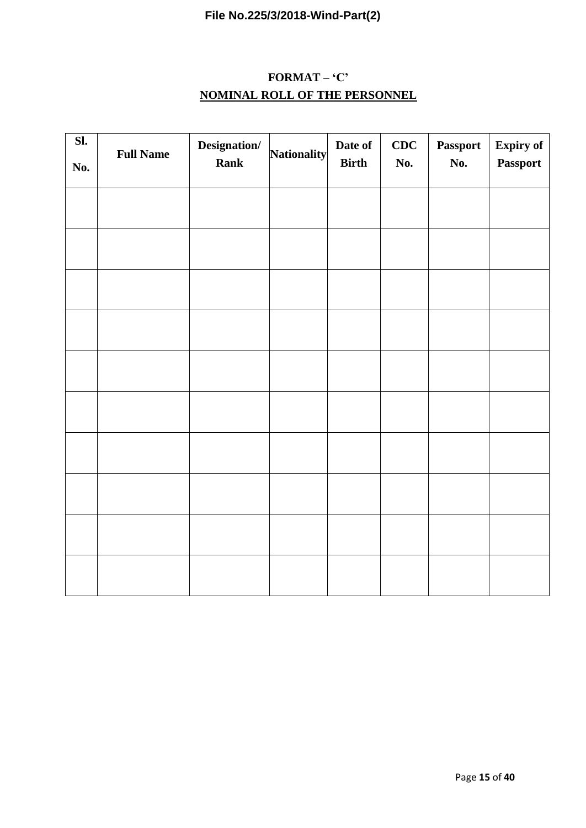# **FORMAT – 'C' NOMINAL ROLL OF THE PERSONNEL**

| SI.<br>No. | <b>Full Name</b> | Designation/<br>Rank | Nationality | Date of<br><b>Birth</b> | CDC<br>No. | <b>Passport</b><br>No. | <b>Expiry of</b><br>Passport |  |  |  |  |
|------------|------------------|----------------------|-------------|-------------------------|------------|------------------------|------------------------------|--|--|--|--|
|            |                  |                      |             |                         |            |                        |                              |  |  |  |  |
|            |                  |                      |             |                         |            |                        |                              |  |  |  |  |
|            |                  |                      |             |                         |            |                        |                              |  |  |  |  |
|            |                  |                      |             |                         |            |                        |                              |  |  |  |  |
|            |                  |                      |             |                         |            |                        |                              |  |  |  |  |
|            |                  |                      |             |                         |            |                        |                              |  |  |  |  |
|            |                  |                      |             |                         |            |                        |                              |  |  |  |  |
|            |                  |                      |             |                         |            |                        |                              |  |  |  |  |
|            |                  |                      |             |                         |            |                        |                              |  |  |  |  |
|            |                  |                      |             |                         |            |                        |                              |  |  |  |  |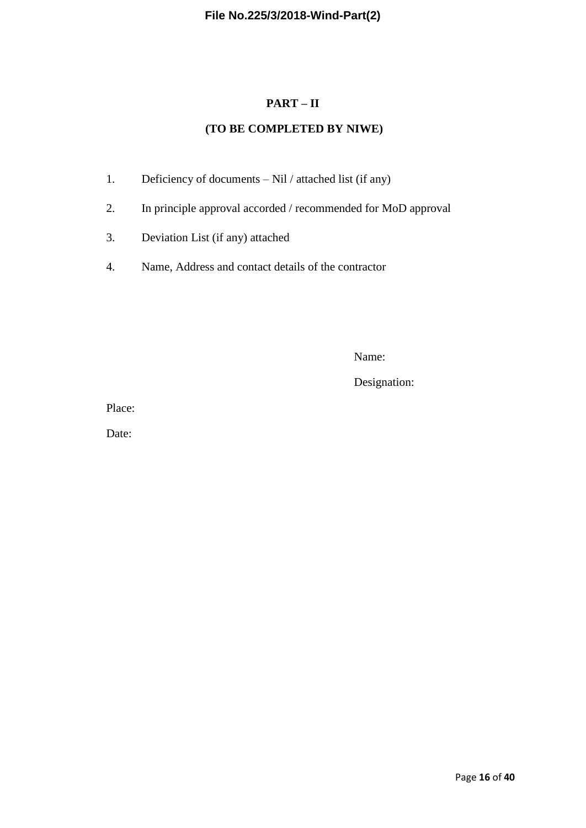## **PART – II**

# **(TO BE COMPLETED BY NIWE)**

- 1. Deficiency of documents Nil / attached list (if any)
- 2. In principle approval accorded / recommended for MoD approval
- 3. Deviation List (if any) attached
- 4. Name, Address and contact details of the contractor

Name:

Designation:

Place:

Date: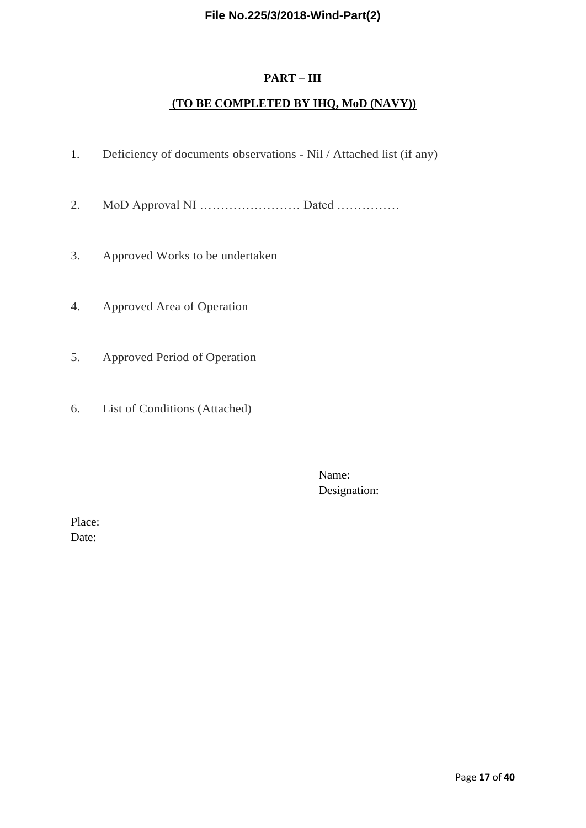## **PART – III**

# **(TO BE COMPLETED BY IHQ, MoD (NAVY))**

- 1. Deficiency of documents observations Nil / Attached list (if any)
- 2. MoD Approval NI …………………… Dated ……………
- 3. Approved Works to be undertaken
- 4. Approved Area of Operation
- 5. Approved Period of Operation
- 6. List of Conditions (Attached)

Name: Designation:

Place: Date: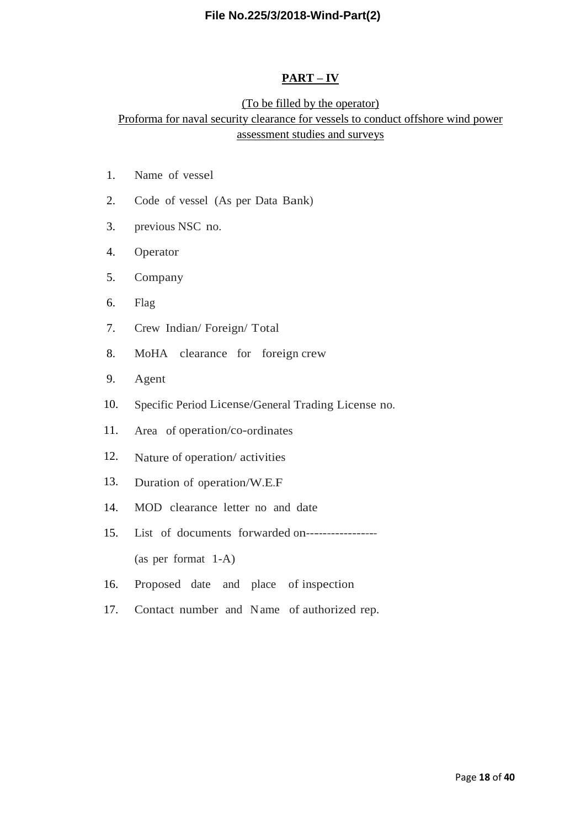#### **PART – IV**

# (To be filled by the operator) Proforma for naval security clearance for vessels to conduct offshore wind power assessment studies and surveys

- 1. Name of vessel
- 2. Code of vessel (As per Data Bank)
- 3. previous NSC no.
- 4. Operator
- 5. Company
- 6. Flag
- 7. Crew Indian/ Foreign/ Total
- 8. MoHA clearance for foreign crew
- 9. Agent
- 10. Specific Period License/General Trading License no.
- 11. Area of operation/co-ordinates
- 12. Nature of operation/ activities
- 13. Duration of operation/W.E.F
- 14. MOD clearance letter no and date
- 15. List of documents forwarded on----------------- (as per format 1-A)
- 16. Proposed date and place of inspection
- 17. Contact number and Name of authorized rep.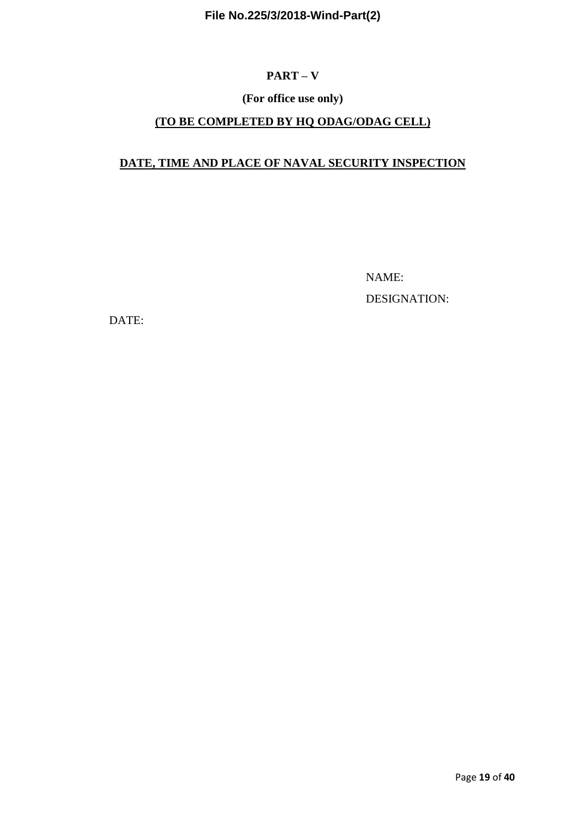# **PART – V**

# **(For office use only)**

# **(TO BE COMPLETED BY HQ ODAG/ODAG CELL)**

# **DATE, TIME AND PLACE OF NAVAL SECURITY INSPECTION**

 NAME: DESIGNATION:

DATE: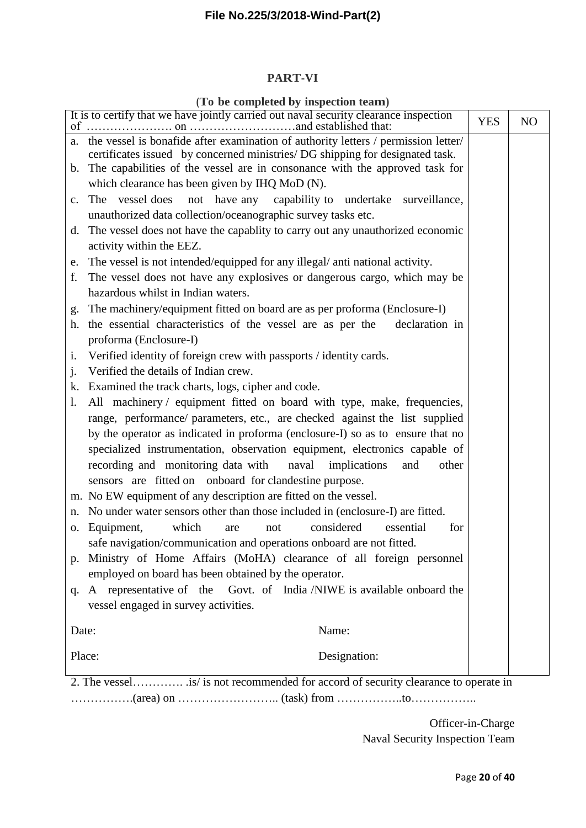#### **PART-VI**

#### **(To be completed by inspection team)**

|        | It is to certify that we have jointly carried out naval security clearance inspection<br>of $\ldots$ | <b>YES</b> | N <sub>O</sub> |
|--------|------------------------------------------------------------------------------------------------------|------------|----------------|
|        | a. the vessel is bonafide after examination of authority letters / permission letter/                |            |                |
|        | certificates issued by concerned ministries/ DG shipping for designated task.                        |            |                |
|        | b. The capabilities of the vessel are in consonance with the approved task for                       |            |                |
|        | which clearance has been given by IHQ MoD (N).                                                       |            |                |
|        | not have any capability to undertake surveillance,<br>c. The vessel does                             |            |                |
|        | unauthorized data collection/oceanographic survey tasks etc.                                         |            |                |
| d.     | The vessel does not have the capablity to carry out any unauthorized economic                        |            |                |
|        | activity within the EEZ.                                                                             |            |                |
| e.     | The vessel is not intended/equipped for any illegal/ anti national activity.                         |            |                |
| f.     | The vessel does not have any explosives or dangerous cargo, which may be                             |            |                |
|        | hazardous whilst in Indian waters.                                                                   |            |                |
| g.     | The machinery/equipment fitted on board are as per proforma (Enclosure-I)                            |            |                |
|        | h. the essential characteristics of the vessel are as per the<br>declaration in                      |            |                |
|        | proforma (Enclosure-I)                                                                               |            |                |
| i.     | Verified identity of foreign crew with passports / identity cards.                                   |            |                |
| j.     | Verified the details of Indian crew.                                                                 |            |                |
|        | k. Examined the track charts, logs, cipher and code.                                                 |            |                |
| 1.     | All machinery / equipment fitted on board with type, make, frequencies,                              |            |                |
|        | range, performance/ parameters, etc., are checked against the list supplied                          |            |                |
|        | by the operator as indicated in proforma (enclosure-I) so as to ensure that no                       |            |                |
|        | specialized instrumentation, observation equipment, electronics capable of                           |            |                |
|        | recording and monitoring data with naval implications<br>other<br>and                                |            |                |
|        | sensors are fitted on onboard for clandestine purpose.                                               |            |                |
|        | m. No EW equipment of any description are fitted on the vessel.                                      |            |                |
|        | n. No under water sensors other than those included in (enclosure-I) are fitted.                     |            |                |
| 0.     | considered<br>which<br>Equipment,<br>essential<br>for<br>are<br>not                                  |            |                |
|        | safe navigation/communication and operations onboard are not fitted.                                 |            |                |
|        | p. Ministry of Home Affairs (MoHA) clearance of all foreign personnel                                |            |                |
|        | employed on board has been obtained by the operator.                                                 |            |                |
| q.     | A representative of the Govt. of India /NIWE is available onboard the                                |            |                |
|        | vessel engaged in survey activities.                                                                 |            |                |
|        |                                                                                                      |            |                |
| Date:  | Name:                                                                                                |            |                |
|        |                                                                                                      |            |                |
| Place: | Designation:                                                                                         |            |                |
|        | 2. The vessel is/ is not recommended for accord of security clearance to operate in                  |            |                |

…………….(area) on …………………….. (task) from ……………..to……………..

Officer-in-Charge Naval Security Inspection Team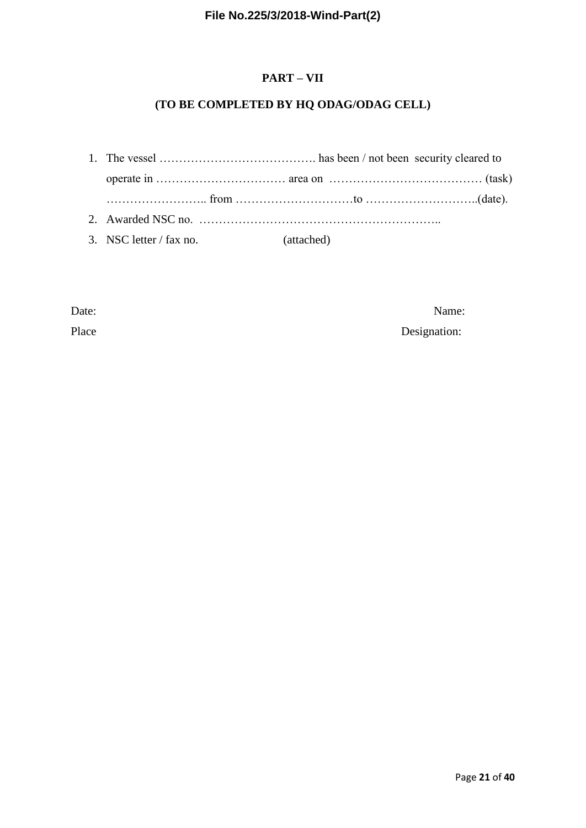# **PART – VII**

# **(TO BE COMPLETED BY HQ ODAG/ODAG CELL)**

1. The vessel …………………………………. has been / not been security cleared to operate in …………………………… area on ………………………………… (task) …………………….. from …………………………to ………………………..(date). 2. Awarded NSC no. …………………………………………………….. 3. NSC letter / fax no. (attached)

Date: Name:

Place Designation: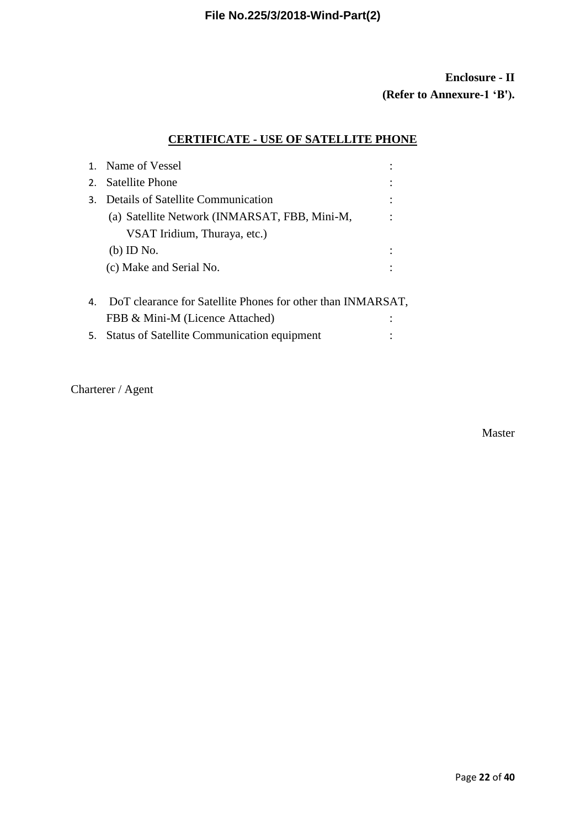# **Enclosure - II (Refer to Annexure-1 'B').**

# **CERTIFICATE - USE OF SATELLITE PHONE**

|    | 1. Name of Vessel                                           |  |
|----|-------------------------------------------------------------|--|
| 2. | <b>Satellite Phone</b>                                      |  |
| 3. | Details of Satellite Communication                          |  |
|    | (a) Satellite Network (INMARSAT, FBB, Mini-M,               |  |
|    | VSAT Iridium, Thuraya, etc.)                                |  |
|    | $(b)$ ID No.                                                |  |
|    | (c) Make and Serial No.                                     |  |
| 4. | DoT clearance for Satellite Phones for other than INMARSAT, |  |
|    | FBB & Mini-M (Licence Attached)                             |  |

5. Status of Satellite Communication equipment :

Charterer / Agent

Master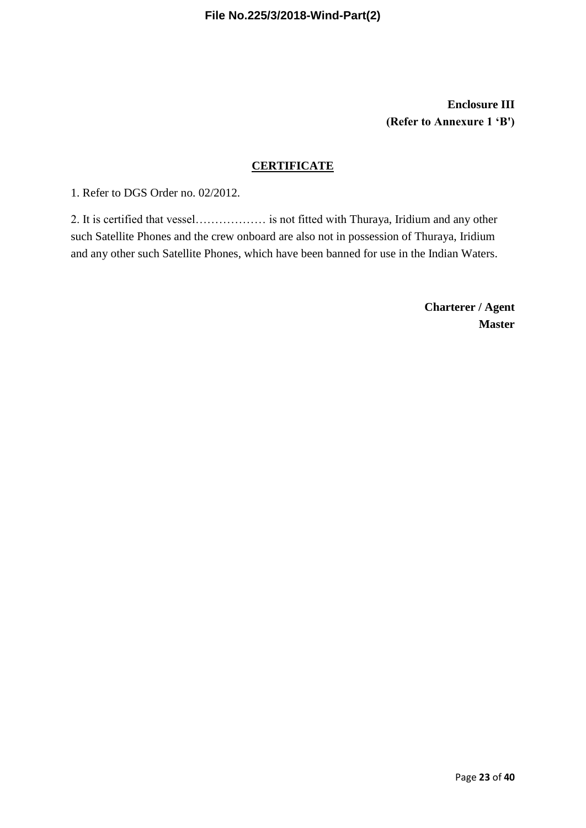**Enclosure III (Refer to Annexure 1 'B')**

## **CERTIFICATE**

1. Refer to DGS Order no. 02/2012.

2. It is certified that vessel……………… is not fitted with Thuraya, Iridium and any other such Satellite Phones and the crew onboard are also not in possession of Thuraya, Iridium and any other such Satellite Phones, which have been banned for use in the Indian Waters.

> **Charterer / Agent Master**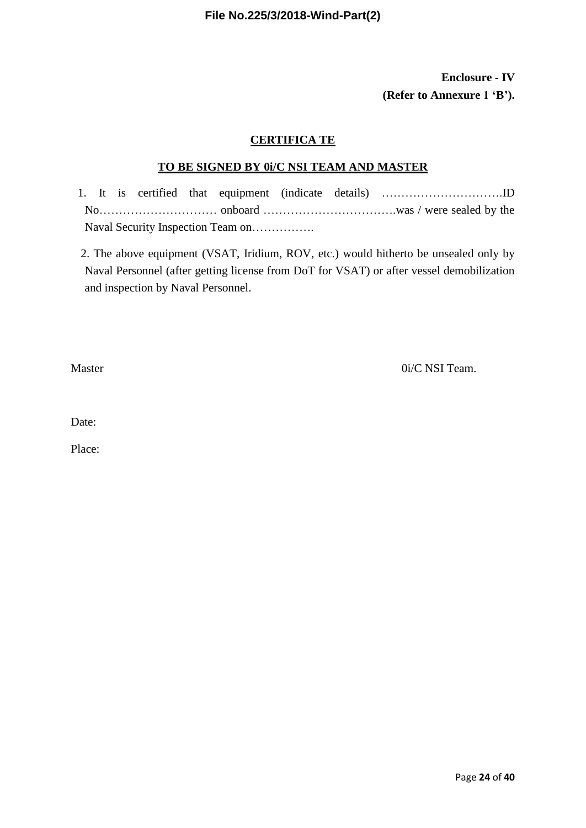# **Enclosure - IV (Refer to Annexure 1 'B').**

## **CERTIFICA TE**

## **TO BE SIGNED BY 0i/C NSI TEAM AND MASTER**

1. It is certified that equipment (indicate details) ………………………….ID No………………………… onboard …………………………….was / were sealed by the Naval Security Inspection Team on…………….

2. The above equipment (VSAT, Iridium, ROV, etc.) would hitherto be unsealed only by Naval Personnel (after getting license from DoT for VSAT) or after vessel demobilization and inspection by Naval Personnel.

Master 0i/C NSI Team.

Date: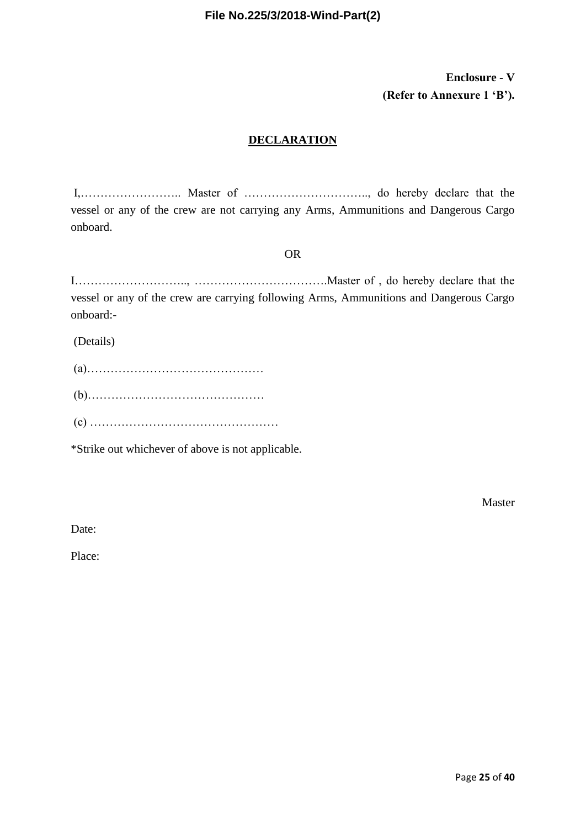# **Enclosure - V (Refer to Annexure 1 'B').**

# **DECLARATION**

I,…………………….. Master of ………………………….., do hereby declare that the vessel or any of the crew are not carrying any Arms, Ammunitions and Dangerous Cargo onboard.

#### OR

I……………………….., …………………………….Master of , do hereby declare that the vessel or any of the crew are carrying following Arms, Ammunitions and Dangerous Cargo onboard:-

(Details)

\*Strike out whichever of above is not applicable.

Master

Date: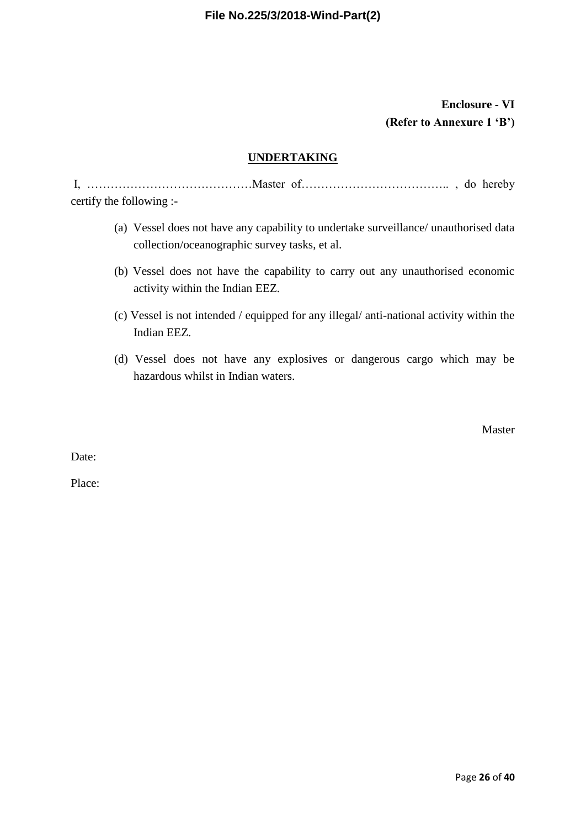# **Enclosure - VI (Refer to Annexure 1 'B')**

# **UNDERTAKING**

I, ……………………………………Master of……………………………….. , do hereby certify the following :-

- (a) Vessel does not have any capability to undertake surveillance/ unauthorised data collection/oceanographic survey tasks, et al.
- (b) Vessel does not have the capability to carry out any unauthorised economic activity within the Indian EEZ.
- (c) Vessel is not intended / equipped for any illegal/ anti-national activity within the Indian EEZ.
- (d) Vessel does not have any explosives or dangerous cargo which may be hazardous whilst in Indian waters.

Master

Date: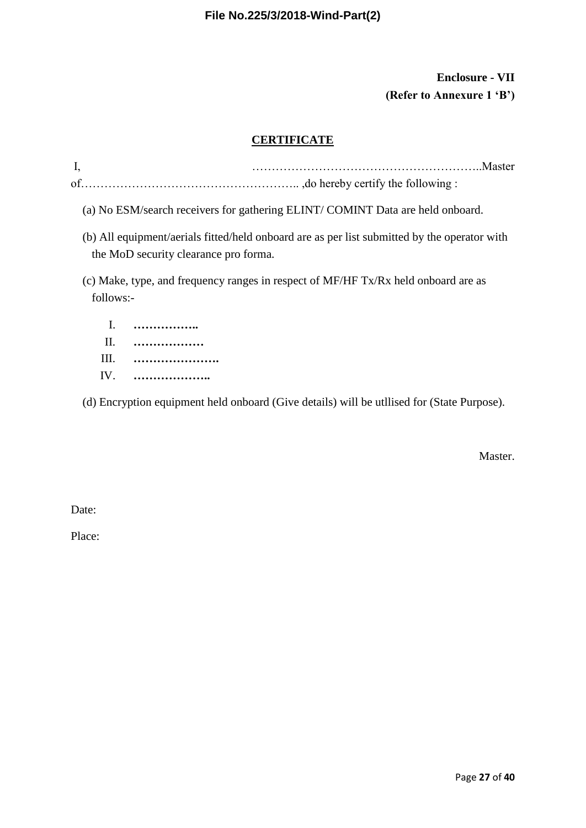# **Enclosure - VII (Refer to Annexure 1 'B')**

# **CERTIFICATE**

| I, |                                                                                                                                       |
|----|---------------------------------------------------------------------------------------------------------------------------------------|
|    |                                                                                                                                       |
|    | (a) No ESM/search receivers for gathering ELINT/COMINT Data are held onboard.                                                         |
|    | (b) All equipment/aerials fitted/held onboard are as per list submitted by the operator with<br>the MoD security clearance pro forma. |
|    | (c) Make, type, and frequency ranges in respect of MF/HF Tx/Rx held onboard are as<br>follows:-                                       |
|    | .                                                                                                                                     |

| $\mathbf{H}$ | .   |
|--------------|-----|
| HH.          |     |
|              | IV. |

(d) Encryption equipment held onboard (Give details) will be utllised for (State Purpose).

Master.

Date: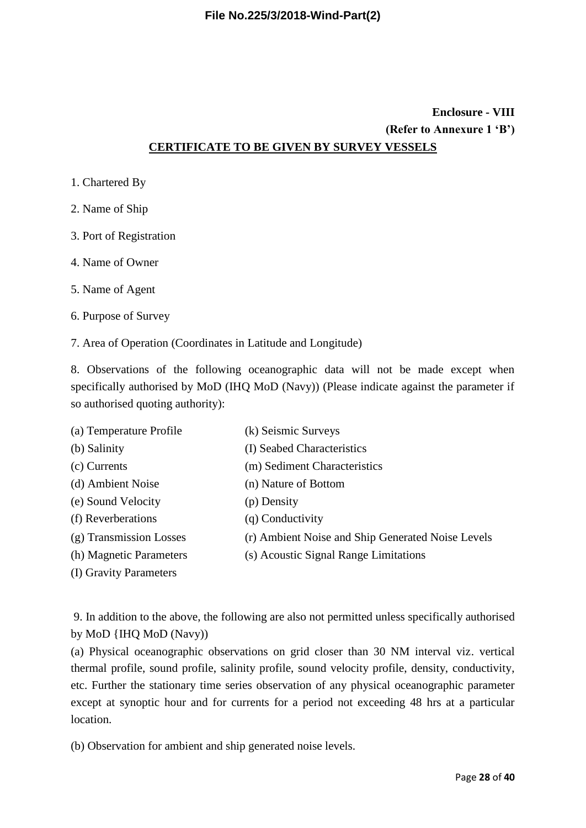# **Enclosure - VIII (Refer to Annexure 1 'B') CERTIFICATE TO BE GIVEN BY SURVEY VESSELS**

- 1. Chartered By
- 2. Name of Ship
- 3. Port of Registration
- 4. Name of Owner
- 5. Name of Agent
- 6. Purpose of Survey

7. Area of Operation (Coordinates in Latitude and Longitude)

8. Observations of the following oceanographic data will not be made except when specifically authorised by MoD (IHQ MoD (Navy)) (Please indicate against the parameter if so authorised quoting authority):

| (a) Temperature Profile | (k) Seismic Surveys                               |
|-------------------------|---------------------------------------------------|
| (b) Salinity            | (I) Seabed Characteristics                        |
| (c) Currents            | (m) Sediment Characteristics                      |
| (d) Ambient Noise       | (n) Nature of Bottom                              |
| (e) Sound Velocity      | (p) Density                                       |
| (f) Reverberations      | (q) Conductivity                                  |
| (g) Transmission Losses | (r) Ambient Noise and Ship Generated Noise Levels |
| (h) Magnetic Parameters | (s) Acoustic Signal Range Limitations             |
| (I) Gravity Parameters  |                                                   |

9. In addition to the above, the following are also not permitted unless specifically authorised by MoD {IHQ MoD (Navy))

(a) Physical oceanographic observations on grid closer than 30 NM interval viz. vertical thermal profile, sound profile, salinity profile, sound velocity profile, density, conductivity, etc. Further the stationary time series observation of any physical oceanographic parameter except at synoptic hour and for currents for a period not exceeding 48 hrs at a particular location.

(b) Observation for ambient and ship generated noise levels.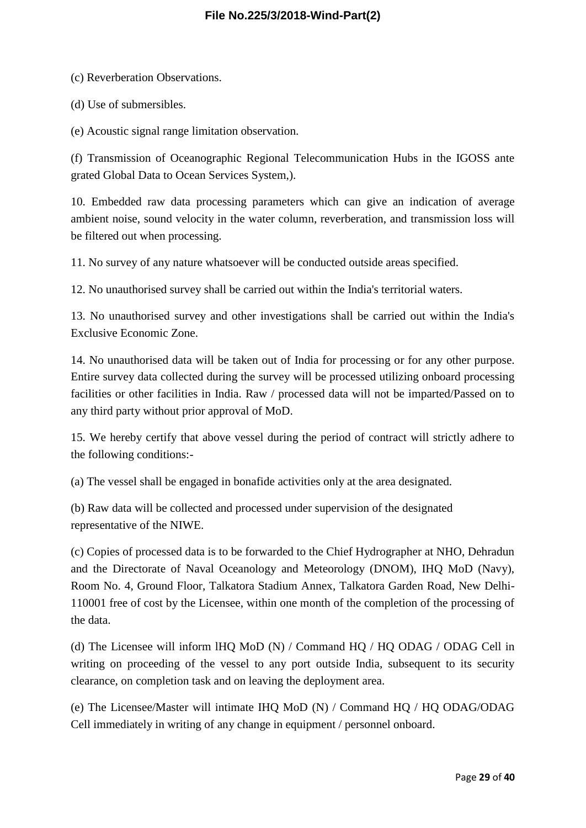(c) Reverberation Observations.

(d) Use of submersibles.

(e) Acoustic signal range limitation observation.

(f) Transmission of Oceanographic Regional Telecommunication Hubs in the IGOSS ante grated Global Data to Ocean Services System,).

10. Embedded raw data processing parameters which can give an indication of average ambient noise, sound velocity in the water column, reverberation, and transmission loss will be filtered out when processing.

11. No survey of any nature whatsoever will be conducted outside areas specified.

12. No unauthorised survey shall be carried out within the India's territorial waters.

13. No unauthorised survey and other investigations shall be carried out within the India's Exclusive Economic Zone.

14. No unauthorised data will be taken out of India for processing or for any other purpose. Entire survey data collected during the survey will be processed utilizing onboard processing facilities or other facilities in India. Raw / processed data will not be imparted/Passed on to any third party without prior approval of MoD.

15. We hereby certify that above vessel during the period of contract will strictly adhere to the following conditions:-

(a) The vessel shall be engaged in bonafide activities only at the area designated.

(b) Raw data will be collected and processed under supervision of the designated representative of the NIWE.

(c) Copies of processed data is to be forwarded to the Chief Hydrographer at NHO, Dehradun and the Directorate of Naval Oceanology and Meteorology (DNOM), IHQ MoD (Navy), Room No. 4, Ground Floor, Talkatora Stadium Annex, Talkatora Garden Road, New Delhi-110001 free of cost by the Licensee, within one month of the completion of the processing of the data.

(d) The Licensee will inform lHQ MoD (N) / Command HQ / HQ ODAG / ODAG Cell in writing on proceeding of the vessel to any port outside India, subsequent to its security clearance, on completion task and on leaving the deployment area.

(e) The Licensee/Master will intimate IHQ MoD (N) / Command HQ / HQ ODAG/ODAG Cell immediately in writing of any change in equipment / personnel onboard.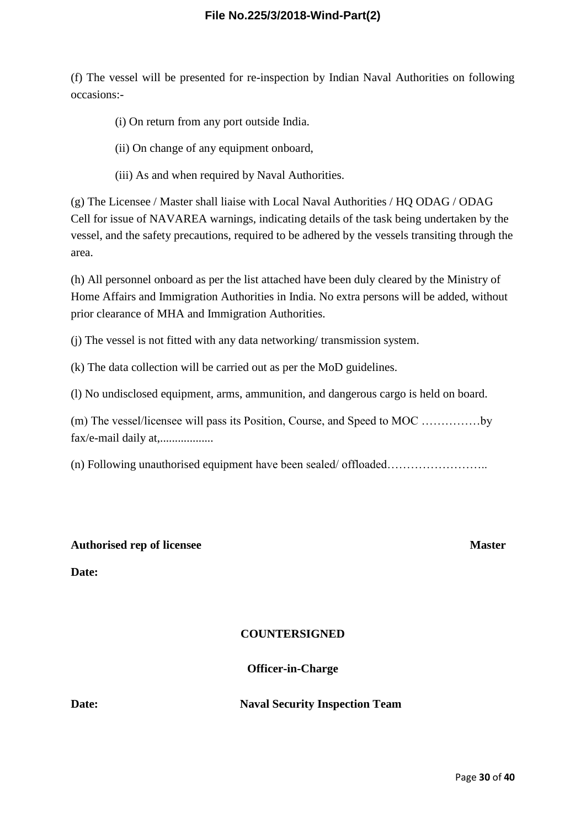(f) The vessel will be presented for re-inspection by Indian Naval Authorities on following occasions:-

- (i) On return from any port outside India.
- (ii) On change of any equipment onboard,
- (iii) As and when required by Naval Authorities.

(g) The Licensee / Master shall liaise with Local Naval Authorities / HQ ODAG / ODAG Cell for issue of NAVAREA warnings, indicating details of the task being undertaken by the vessel, and the safety precautions, required to be adhered by the vessels transiting through the area.

(h) All personnel onboard as per the list attached have been duly cleared by the Ministry of Home Affairs and Immigration Authorities in India. No extra persons will be added, without prior clearance of MHA and Immigration Authorities.

(j) The vessel is not fitted with any data networking/ transmission system.

(k) The data collection will be carried out as per the MoD guidelines.

(l) No undisclosed equipment, arms, ammunition, and dangerous cargo is held on board.

(m) The vessel/licensee will pass its Position, Course, and Speed to MOC ……………by fax/e-mail daily at,..................

(n) Following unauthorised equipment have been sealed/ offloaded……………………..

#### **Authorised rep of licensee Master**

**Date:**

#### **COUNTERSIGNED**

**Officer-in-Charge**

**Date: Naval Security Inspection Team**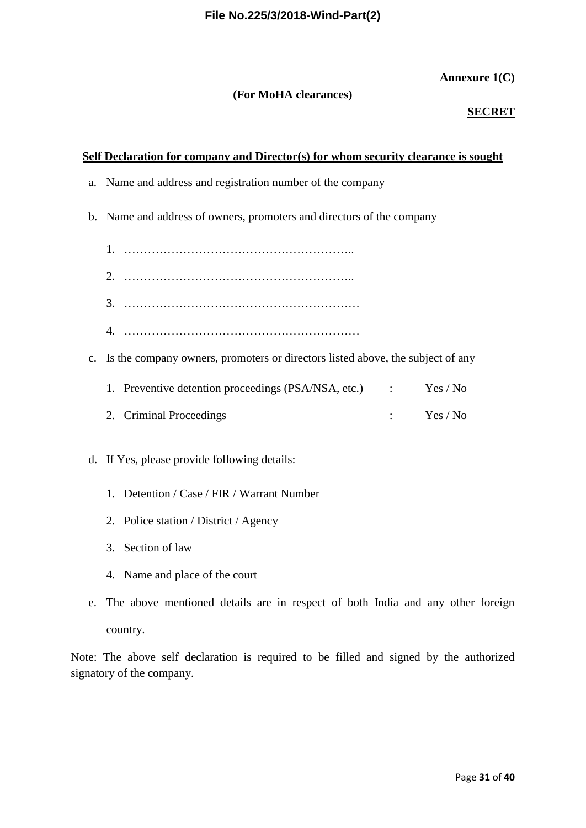## **Annexure 1(C)**

## **(For MoHA clearances)**

## **SECRET**

### **Self Declaration for company and Director(s) for whom security clearance is sought**

- a. Name and address and registration number of the company
- b. Name and address of owners, promoters and directors of the company
	- 1. …………………………………………………..
	- 2. …………………………………………………..
	- 3. ……………………………………………………
	- 4. ……………………………………………………
- c. Is the company owners, promoters or directors listed above, the subject of any

| 1. Preventive detention proceedings (PSA/NSA, etc.) | Yes / No |
|-----------------------------------------------------|----------|
|                                                     |          |

- 2. Criminal Proceedings : Yes / No
- d. If Yes, please provide following details:
	- 1. Detention / Case / FIR / Warrant Number
	- 2. Police station / District / Agency
	- 3. Section of law
	- 4. Name and place of the court
- e. The above mentioned details are in respect of both India and any other foreign country.

Note: The above self declaration is required to be filled and signed by the authorized signatory of the company.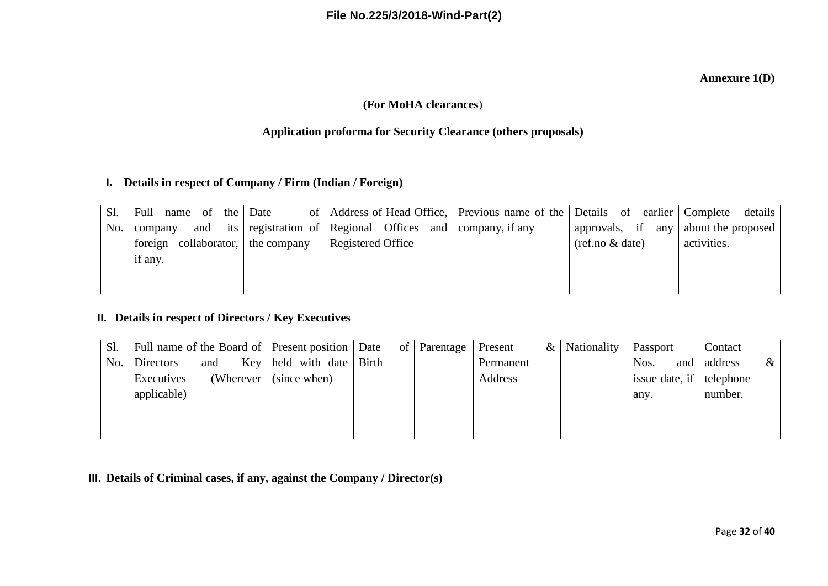## **Annexure 1(D)**

# **(For MoHA clearances**)

# **Application proforma for Security Clearance (others proposals)**

# **I. Details in respect of Company / Firm (Indian / Foreign)**

| Sl. | Full name of the Date             | of   Address of Head Office,   Previous name of the   Details of earlier   Complete details |                                      |             |
|-----|-----------------------------------|---------------------------------------------------------------------------------------------|--------------------------------------|-------------|
| No. | company                           | and its registration of Regional Offices and company, if any                                | approvals, if any about the proposed |             |
|     | foreign collaborator, the company | Registered Office                                                                           | $(ref.no \& date)$                   | activities. |
|     | if any.                           |                                                                                             |                                      |             |
|     |                                   |                                                                                             |                                      |             |
|     |                                   |                                                                                             |                                      |             |

# **II. Details in respect of Directors / Key Executives**

| Sl. |               |     | Full name of the Board of   Present position   Date of   Parentage |  | Present   | & Nationality | Passport                 | Contact |      |
|-----|---------------|-----|--------------------------------------------------------------------|--|-----------|---------------|--------------------------|---------|------|
|     | No. Directors | and | Key   held with date   Birth                                       |  | Permanent |               | Nos.<br>and              | address | $\&$ |
|     | Executives    |     | (Wherever $\vert$ (since when)                                     |  | Address   |               | issue date, if telephone |         |      |
|     | applicable)   |     |                                                                    |  |           |               | any.                     | number. |      |
|     |               |     |                                                                    |  |           |               |                          |         |      |
|     |               |     |                                                                    |  |           |               |                          |         |      |
|     |               |     |                                                                    |  |           |               |                          |         |      |

**III. Details of Criminal cases, if any, against the Company / Director(s)**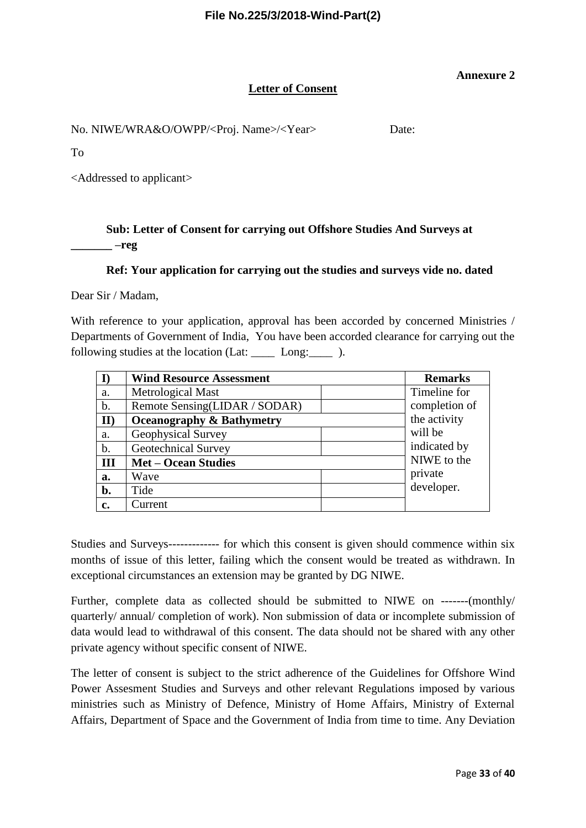#### **Annexure 2**

#### **Letter of Consent**

No. NIWE/WRA&O/OWPP/<Proj. Name>/<Year>Date:

To

<Addressed to applicant>

# **Sub: Letter of Consent for carrying out Offshore Studies And Surveys at**   $-$ reg

## **Ref: Your application for carrying out the studies and surveys vide no. dated**

Dear Sir / Madam,

With reference to your application, approval has been accorded by concerned Ministries / Departments of Government of India, You have been accorded clearance for carrying out the following studies at the location (Lat: \_\_\_\_\_ Long: \_\_\_\_\_ ).

|               | <b>Wind Resource Assessment</b>      | <b>Remarks</b>                |
|---------------|--------------------------------------|-------------------------------|
| a.            | Metrological Mast                    | Timeline for                  |
| $\mathbf b$ . | Remote Sensing(LIDAR / SODAR)        | completion of<br>the activity |
| $\mathbf{II}$ | <b>Oceanography &amp; Bathymetry</b> |                               |
| a.            | Geophysical Survey                   | will be                       |
| $b$ .         | <b>Geotechnical Survey</b>           | indicated by                  |
| III           | <b>Met – Ocean Studies</b>           | NIWE to the                   |
| a.            | Wave                                 | private                       |
| b.            | Tide                                 | developer.                    |
| c.            | Current                              |                               |

Studies and Surveys------------- for which this consent is given should commence within six months of issue of this letter, failing which the consent would be treated as withdrawn. In exceptional circumstances an extension may be granted by DG NIWE.

Further, complete data as collected should be submitted to NIWE on -------(monthly/ quarterly/ annual/ completion of work). Non submission of data or incomplete submission of data would lead to withdrawal of this consent. The data should not be shared with any other private agency without specific consent of NIWE.

The letter of consent is subject to the strict adherence of the Guidelines for Offshore Wind Power Assesment Studies and Surveys and other relevant Regulations imposed by various ministries such as Ministry of Defence, Ministry of Home Affairs, Ministry of External Affairs, Department of Space and the Government of India from time to time. Any Deviation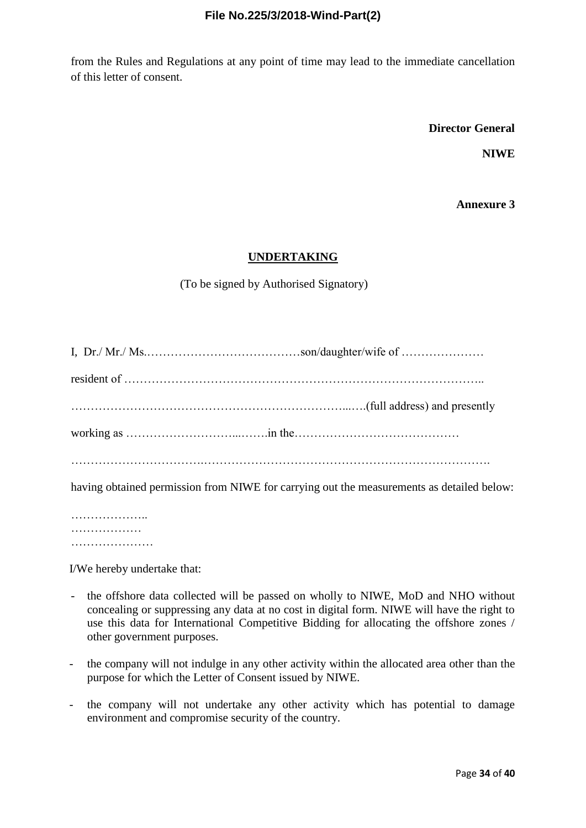from the Rules and Regulations at any point of time may lead to the immediate cancellation of this letter of consent.

**Director General**

**NIWE**

**Annexure 3**

## **UNDERTAKING**

(To be signed by Authorised Signatory)

| having obtained permission from NIWE for carrying out the measurements as detailed below: |
|-------------------------------------------------------------------------------------------|

…………………… ………………… ………………………

I/We hereby undertake that:

- the offshore data collected will be passed on wholly to NIWE, MoD and NHO without concealing or suppressing any data at no cost in digital form. NIWE will have the right to use this data for International Competitive Bidding for allocating the offshore zones / other government purposes.
- the company will not indulge in any other activity within the allocated area other than the purpose for which the Letter of Consent issued by NIWE.
- the company will not undertake any other activity which has potential to damage environment and compromise security of the country.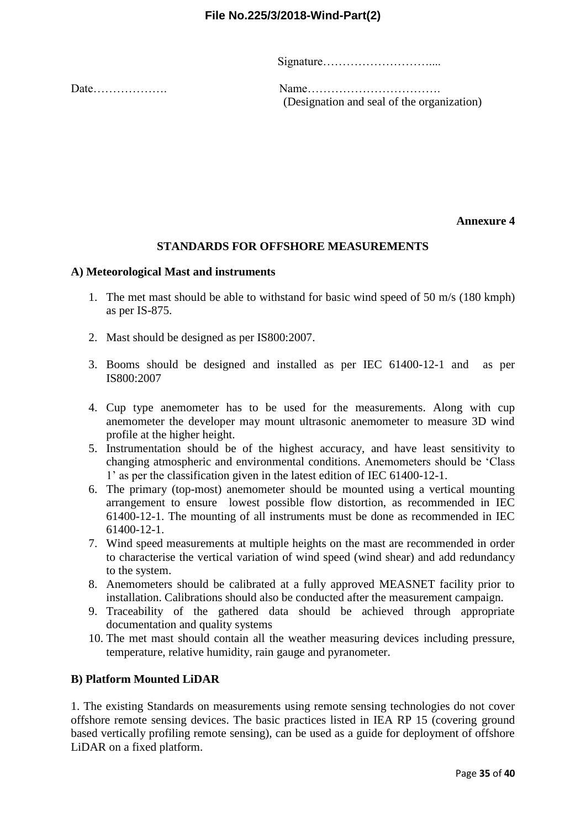Signature………………………....

Date………………. Name……………………………. (Designation and seal of the organization)

**Annexure 4**

#### **STANDARDS FOR OFFSHORE MEASUREMENTS**

#### **A) Meteorological Mast and instruments**

- 1. The met mast should be able to withstand for basic wind speed of 50 m/s (180 kmph) as per IS-875.
- 2. Mast should be designed as per IS800:2007.
- 3. Booms should be designed and installed as per IEC 61400-12-1 and as per IS800:2007
- 4. Cup type anemometer has to be used for the measurements. Along with cup anemometer the developer may mount ultrasonic anemometer to measure 3D wind profile at the higher height.
- 5. Instrumentation should be of the highest accuracy, and have least sensitivity to changing atmospheric and environmental conditions. Anemometers should be 'Class 1' as per the classification given in the latest edition of IEC 61400-12-1.
- 6. The primary (top-most) anemometer should be mounted using a vertical mounting arrangement to ensure lowest possible flow distortion, as recommended in IEC 61400-12-1. The mounting of all instruments must be done as recommended in IEC 61400-12-1.
- 7. Wind speed measurements at multiple heights on the mast are recommended in order to characterise the vertical variation of wind speed (wind shear) and add redundancy to the system.
- 8. Anemometers should be calibrated at a fully approved MEASNET facility prior to installation. Calibrations should also be conducted after the measurement campaign.
- 9. Traceability of the gathered data should be achieved through appropriate documentation and quality systems
- 10. The met mast should contain all the weather measuring devices including pressure, temperature, relative humidity, rain gauge and pyranometer.

#### **B) Platform Mounted LiDAR**

1. The existing Standards on measurements using remote sensing technologies do not cover offshore remote sensing devices. The basic practices listed in IEA RP 15 (covering ground based vertically profiling remote sensing), can be used as a guide for deployment of offshore LiDAR on a fixed platform.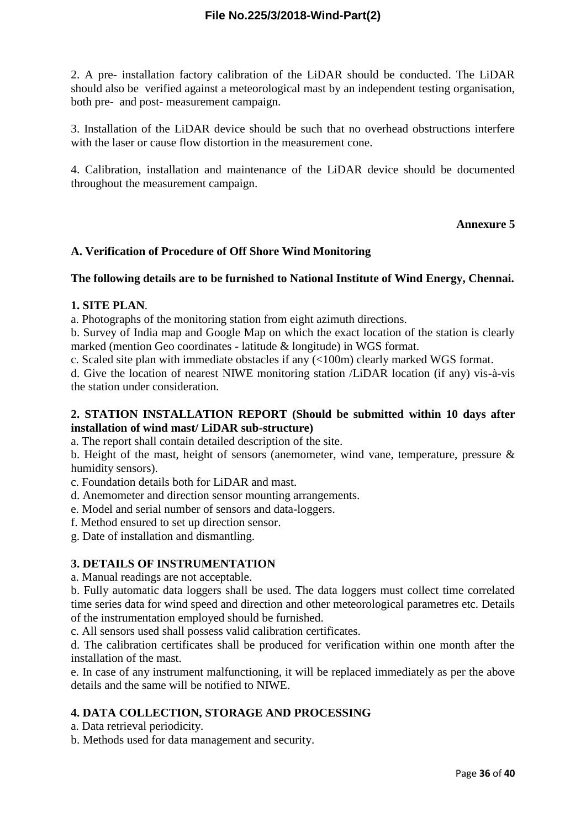2. A pre- installation factory calibration of the LiDAR should be conducted. The LiDAR should also be verified against a meteorological mast by an independent testing organisation, both pre- and post- measurement campaign.

3. Installation of the LiDAR device should be such that no overhead obstructions interfere with the laser or cause flow distortion in the measurement cone.

4. Calibration, installation and maintenance of the LiDAR device should be documented throughout the measurement campaign.

## **Annexure 5**

## **A. Verification of Procedure of Off Shore Wind Monitoring**

#### **The following details are to be furnished to National Institute of Wind Energy, Chennai.**

#### **1. SITE PLAN**.

a. Photographs of the monitoring station from eight azimuth directions.

b. Survey of India map and Google Map on which the exact location of the station is clearly marked (mention Geo coordinates - latitude & longitude) in WGS format.

c. Scaled site plan with immediate obstacles if any (<100m) clearly marked WGS format.

d. Give the location of nearest NIWE monitoring station /LiDAR location (if any) vis-à-vis the station under consideration.

## **2. STATION INSTALLATION REPORT (Should be submitted within 10 days after installation of wind mast/ LiDAR sub-structure)**

a. The report shall contain detailed description of the site.

b. Height of the mast, height of sensors (anemometer, wind vane, temperature, pressure & humidity sensors).

c. Foundation details both for LiDAR and mast.

d. Anemometer and direction sensor mounting arrangements.

e. Model and serial number of sensors and data-loggers.

f. Method ensured to set up direction sensor.

g. Date of installation and dismantling.

#### **3. DETAILS OF INSTRUMENTATION**

a. Manual readings are not acceptable.

b. Fully automatic data loggers shall be used. The data loggers must collect time correlated time series data for wind speed and direction and other meteorological parametres etc. Details of the instrumentation employed should be furnished.

c. All sensors used shall possess valid calibration certificates.

d. The calibration certificates shall be produced for verification within one month after the installation of the mast.

e. In case of any instrument malfunctioning, it will be replaced immediately as per the above details and the same will be notified to NIWE.

## **4. DATA COLLECTION, STORAGE AND PROCESSING**

a. Data retrieval periodicity.

b. Methods used for data management and security.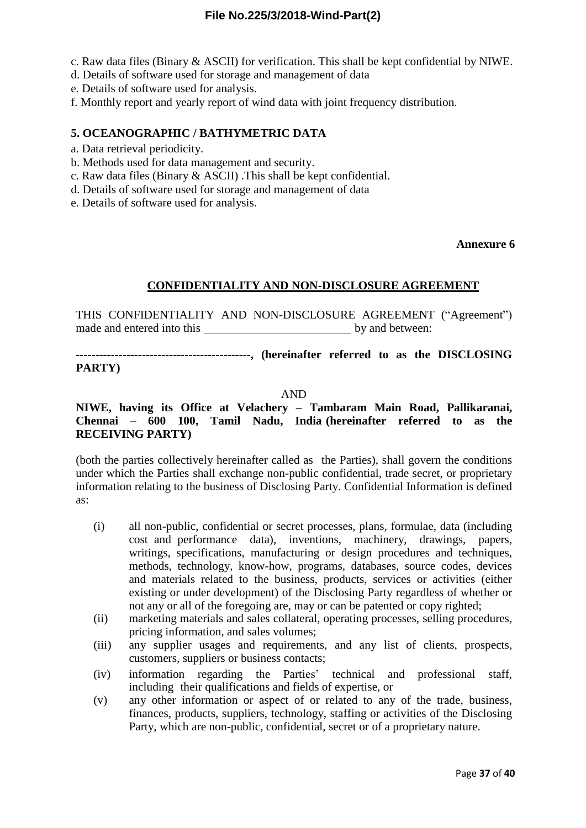c. Raw data files (Binary & ASCII) for verification. This shall be kept confidential by NIWE.

- d. Details of software used for storage and management of data
- e. Details of software used for analysis.

f. Monthly report and yearly report of wind data with joint frequency distribution.

#### **5. OCEANOGRAPHIC / BATHYMETRIC DATA**

- a. Data retrieval periodicity.
- b. Methods used for data management and security.
- c. Raw data files (Binary & ASCII) .This shall be kept confidential.
- d. Details of software used for storage and management of data
- e. Details of software used for analysis.

#### **Annexure 6**

#### **CONFIDENTIALITY AND NON-DISCLOSURE AGREEMENT**

THIS CONFIDENTIALITY AND NON-DISCLOSURE AGREEMENT ("Agreement") made and entered into this by and between:

**---------------------------------------------, (hereinafter referred to as the DISCLOSING PARTY)**

#### AND

### **NIWE, having its Office at Velachery – Tambaram Main Road, Pallikaranai, Chennai – 600 100, Tamil Nadu, India (hereinafter referred to as the RECEIVING PARTY)**

(both the parties collectively hereinafter called as the Parties), shall govern the conditions under which the Parties shall exchange non-public confidential, trade secret, or proprietary information relating to the business of Disclosing Party. Confidential Information is defined as:

- (i) all non-public, confidential or secret processes, plans, formulae, data (including cost and performance data), inventions, machinery, drawings, papers, writings, specifications, manufacturing or design procedures and techniques, methods, technology, know-how, programs, databases, source codes, devices and materials related to the business, products, services or activities (either existing or under development) of the Disclosing Party regardless of whether or not any or all of the foregoing are, may or can be patented or copy righted;
- (ii) marketing materials and sales collateral, operating processes, selling procedures, pricing information, and sales volumes;
- (iii) any supplier usages and requirements, and any list of clients, prospects, customers, suppliers or business contacts;
- (iv) information regarding the Parties' technical and professional staff, including their qualifications and fields of expertise, or
- (v) any other information or aspect of or related to any of the trade, business, finances, products, suppliers, technology, staffing or activities of the Disclosing Party, which are non-public, confidential, secret or of a proprietary nature.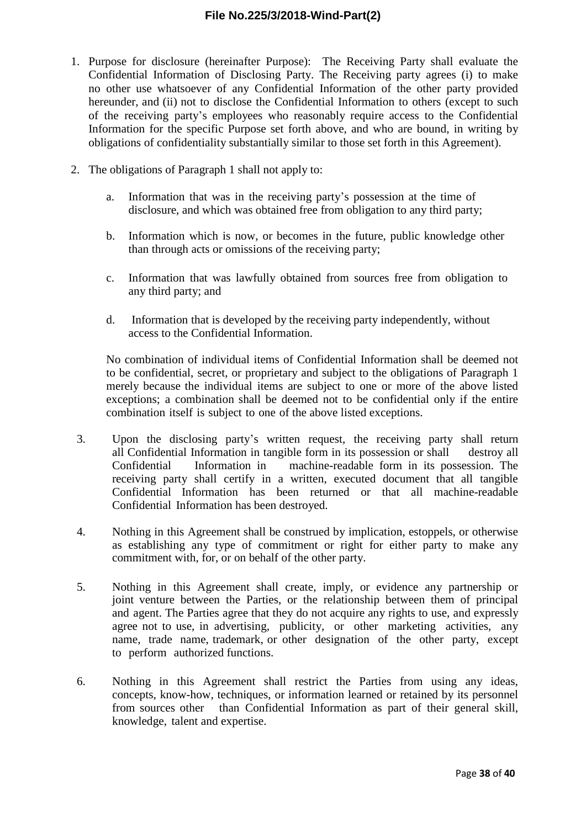- 1. Purpose for disclosure (hereinafter Purpose): The Receiving Party shall evaluate the Confidential Information of Disclosing Party. The Receiving party agrees (i) to make no other use whatsoever of any Confidential Information of the other party provided hereunder, and (ii) not to disclose the Confidential Information to others (except to such of the receiving party's employees who reasonably require access to the Confidential Information for the specific Purpose set forth above, and who are bound, in writing by obligations of confidentiality substantially similar to those set forth in this Agreement).
- 2. The obligations of Paragraph 1 shall not apply to:
	- a. Information that was in the receiving party's possession at the time of disclosure, and which was obtained free from obligation to any third party;
	- b. Information which is now, or becomes in the future, public knowledge other than through acts or omissions of the receiving party;
	- c. Information that was lawfully obtained from sources free from obligation to any third party; and
	- d. Information that is developed by the receiving party independently, without access to the Confidential Information.

No combination of individual items of Confidential Information shall be deemed not to be confidential, secret, or proprietary and subject to the obligations of Paragraph 1 merely because the individual items are subject to one or more of the above listed exceptions; a combination shall be deemed not to be confidential only if the entire combination itself is subject to one of the above listed exceptions.

- 3. Upon the disclosing party's written request, the receiving party shall return all Confidential Information in tangible form in its possession or shall destroy all Confidential Information in machine-readable form in its possession. The receiving party shall certify in a written, executed document that all tangible Confidential Information has been returned or that all machine-readable Confidential Information has been destroyed.
- 4. Nothing in this Agreement shall be construed by implication, estoppels, or otherwise as establishing any type of commitment or right for either party to make any commitment with, for, or on behalf of the other party.
- 5. Nothing in this Agreement shall create, imply, or evidence any partnership or joint venture between the Parties, or the relationship between them of principal and agent. The Parties agree that they do not acquire any rights to use, and expressly agree not to use, in advertising, publicity, or other marketing activities, any name, trade name, trademark, or other designation of the other party, except to perform authorized functions.
- 6. Nothing in this Agreement shall restrict the Parties from using any ideas, concepts, know-how, techniques, or information learned or retained by its personnel from sources other than Confidential Information as part of their general skill, knowledge, talent and expertise.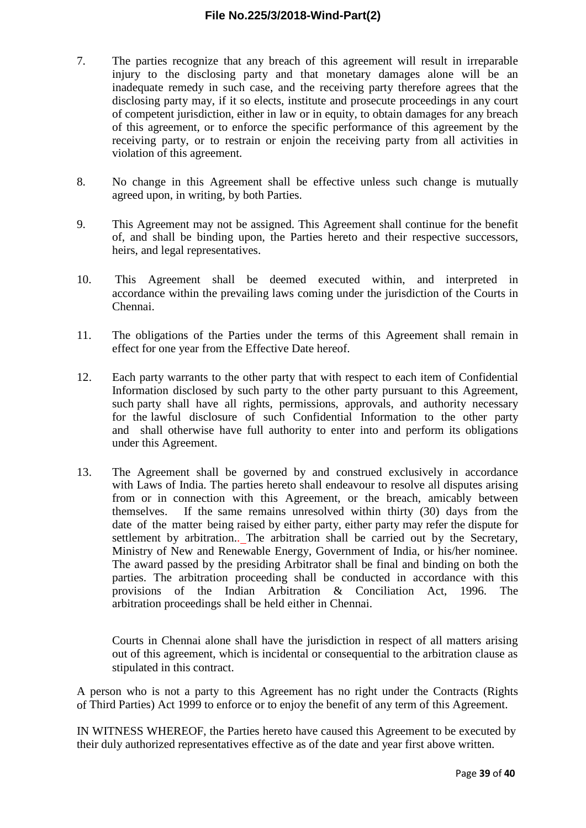- 7. The parties recognize that any breach of this agreement will result in irreparable injury to the disclosing party and that monetary damages alone will be an inadequate remedy in such case, and the receiving party therefore agrees that the disclosing party may, if it so elects, institute and prosecute proceedings in any court of competent jurisdiction, either in law or in equity, to obtain damages for any breach of this agreement, or to enforce the specific performance of this agreement by the receiving party, or to restrain or enjoin the receiving party from all activities in violation of this agreement.
- 8. No change in this Agreement shall be effective unless such change is mutually agreed upon, in writing, by both Parties.
- 9. This Agreement may not be assigned. This Agreement shall continue for the benefit of, and shall be binding upon, the Parties hereto and their respective successors, heirs, and legal representatives.
- 10. This Agreement shall be deemed executed within, and interpreted in accordance within the prevailing laws coming under the jurisdiction of the Courts in Chennai.
- 11. The obligations of the Parties under the terms of this Agreement shall remain in effect for one year from the Effective Date hereof.
- 12. Each party warrants to the other party that with respect to each item of Confidential Information disclosed by such party to the other party pursuant to this Agreement, such party shall have all rights, permissions, approvals, and authority necessary for the lawful disclosure of such Confidential Information to the other party and shall otherwise have full authority to enter into and perform its obligations under this Agreement.
- 13. The Agreement shall be governed by and construed exclusively in accordance with Laws of India. The parties hereto shall endeavour to resolve all disputes arising from or in connection with this Agreement, or the breach, amicably between themselves. If the same remains unresolved within thirty (30) days from the date of the matter being raised by either party, either party may refer the dispute for settlement by arbitration.. The arbitration shall be carried out by the Secretary, Ministry of New and Renewable Energy, Government of India, or his/her nominee. The award passed by the presiding Arbitrator shall be final and binding on both the parties. The arbitration proceeding shall be conducted in accordance with this provisions of the Indian Arbitration & Conciliation Act, 1996. The arbitration proceedings shall be held either in Chennai.

Courts in Chennai alone shall have the jurisdiction in respect of all matters arising out of this agreement, which is incidental or consequential to the arbitration clause as stipulated in this contract.

A person who is not a party to this Agreement has no right under the Contracts (Rights of Third Parties) Act 1999 to enforce or to enjoy the benefit of any term of this Agreement.

IN WITNESS WHEREOF, the Parties hereto have caused this Agreement to be executed by their duly authorized representatives effective as of the date and year first above written.